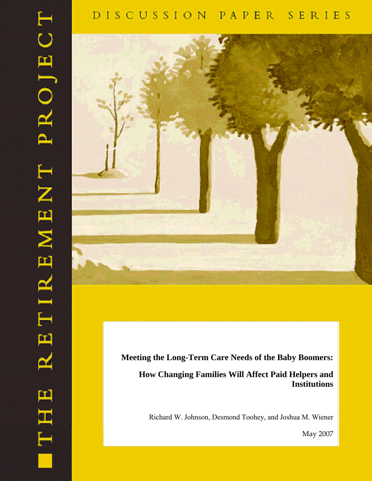# DISCUSSION PAPER SERIES

 $\vdash$ 

EMENT PROJEC

TIR

凹

≃

**THHL** 



# **Meeting the Long-Term Care Needs of the Baby Boomers:**

# **How Changing Families Will Affect Paid Helpers and Institutions**

Richard W. Johnson, Desmond Toohey, and Joshua M. Wiener

May 2007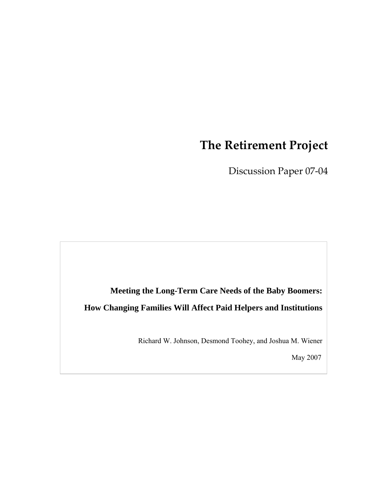# **The Retirement Project**

Discussion Paper 07-04

**Meeting the Long-Term Care Needs of the Baby Boomers: How Changing Families Will Affect Paid Helpers and Institutions**

Richard W. Johnson, Desmond Toohey, and Joshua M. Wiener

May 2007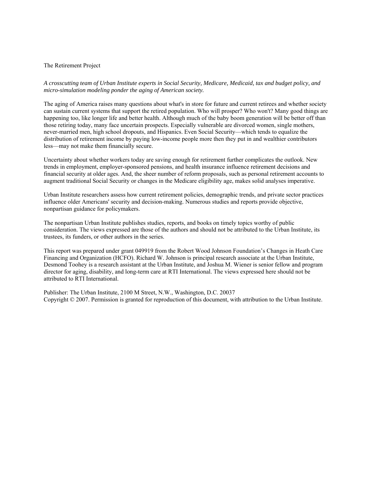#### The Retirement Project

*A crosscutting team of Urban Institute experts in Social Security, Medicare, Medicaid, tax and budget policy, and micro-simulation modeling ponder the aging of American society.* 

The aging of America raises many questions about what's in store for future and current retirees and whether society can sustain current systems that support the retired population. Who will prosper? Who won't? Many good things are happening too, like longer life and better health. Although much of the baby boom generation will be better off than those retiring today, many face uncertain prospects. Especially vulnerable are divorced women, single mothers, never-married men, high school dropouts, and Hispanics. Even Social Security—which tends to equalize the distribution of retirement income by paying low-income people more then they put in and wealthier contributors less—may not make them financially secure.

Uncertainty about whether workers today are saving enough for retirement further complicates the outlook. New trends in employment, employer-sponsored pensions, and health insurance influence retirement decisions and financial security at older ages. And, the sheer number of reform proposals, such as personal retirement accounts to augment traditional Social Security or changes in the Medicare eligibility age, makes solid analyses imperative.

Urban Institute researchers assess how current retirement policies, demographic trends, and private sector practices influence older Americans' security and decision-making. Numerous studies and reports provide objective, nonpartisan guidance for policymakers.

The nonpartisan Urban Institute publishes studies, reports, and books on timely topics worthy of public consideration. The views expressed are those of the authors and should not be attributed to the Urban Institute, its trustees, its funders, or other authors in the series.

This report was prepared under grant 049919 from the Robert Wood Johnson Foundation's Changes in Heath Care Financing and Organization (HCFO). Richard W. Johnson is principal research associate at the Urban Institute, Desmond Toohey is a research assistant at the Urban Institute, and Joshua M. Wiener is senior fellow and program director for aging, disability, and long-term care at RTI International. The views expressed here should not be attributed to RTI International.

Publisher: The Urban Institute, 2100 M Street, N.W., Washington, D.C. 20037 Copyright © 2007. Permission is granted for reproduction of this document, with attribution to the Urban Institute.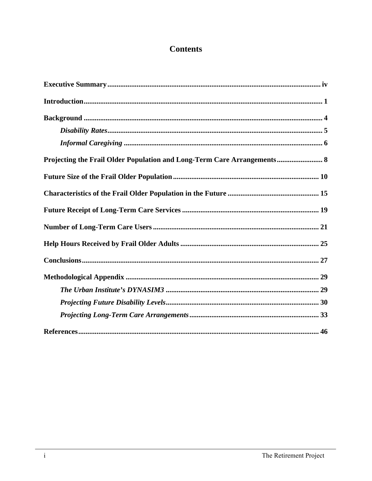# **Contents**

| Projecting the Frail Older Population and Long-Term Care Arrangements 8 |
|-------------------------------------------------------------------------|
|                                                                         |
|                                                                         |
|                                                                         |
|                                                                         |
|                                                                         |
|                                                                         |
|                                                                         |
|                                                                         |
|                                                                         |
|                                                                         |
|                                                                         |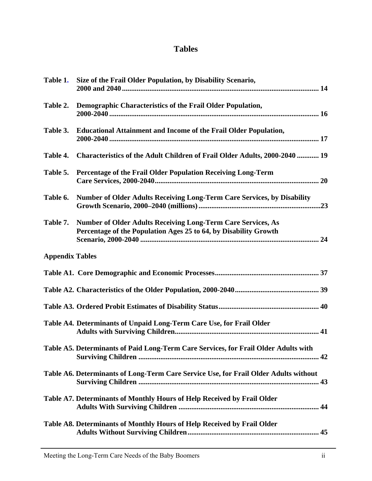# **Tables**

| Table 1.               | Size of the Frail Older Population, by Disability Scenario,                                                                             |
|------------------------|-----------------------------------------------------------------------------------------------------------------------------------------|
| Table 2.               | Demographic Characteristics of the Frail Older Population,                                                                              |
| Table 3.               | <b>Educational Attainment and Income of the Frail Older Population,</b>                                                                 |
| Table 4.               | Characteristics of the Adult Children of Frail Older Adults, 2000-2040  19                                                              |
| Table 5.               | Percentage of the Frail Older Population Receiving Long-Term                                                                            |
| Table 6.               | <b>Number of Older Adults Receiving Long-Term Care Services, by Disability</b>                                                          |
| Table 7.               | <b>Number of Older Adults Receiving Long-Term Care Services, As</b><br>Percentage of the Population Ages 25 to 64, by Disability Growth |
| <b>Appendix Tables</b> |                                                                                                                                         |
|                        |                                                                                                                                         |
|                        |                                                                                                                                         |
|                        |                                                                                                                                         |
|                        | Table A4. Determinants of Unpaid Long-Term Care Use, for Frail Older                                                                    |
|                        | Table A5. Determinants of Paid Long-Term Care Services, for Frail Older Adults with                                                     |
|                        | Table A6. Determinants of Long-Term Care Service Use, for Frail Older Adults without                                                    |
|                        | Table A7. Determinants of Monthly Hours of Help Received by Frail Older                                                                 |
|                        | Table A8. Determinants of Monthly Hours of Help Received by Frail Older                                                                 |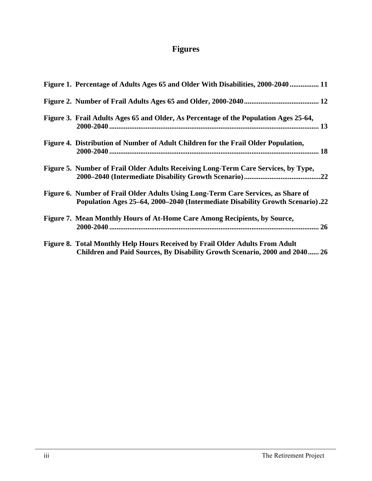# **Figures**

| Figure 1. Percentage of Adults Ages 65 and Older With Disabilities, 2000-2040  11                                                                                  |
|--------------------------------------------------------------------------------------------------------------------------------------------------------------------|
|                                                                                                                                                                    |
| Figure 3. Frail Adults Ages 65 and Older, As Percentage of the Population Ages 25-64,                                                                              |
| Figure 4. Distribution of Number of Adult Children for the Frail Older Population,                                                                                 |
| Figure 5. Number of Frail Older Adults Receiving Long-Term Care Services, by Type,                                                                                 |
| Figure 6. Number of Frail Older Adults Using Long-Term Care Services, as Share of<br>Population Ages 25–64, 2000–2040 (Intermediate Disability Growth Scenario).22 |
| Figure 7. Mean Monthly Hours of At-Home Care Among Recipients, by Source,                                                                                          |
| Figure 8. Total Monthly Help Hours Received by Frail Older Adults From Adult<br>Children and Paid Sources, By Disability Growth Scenario, 2000 and 2040 26         |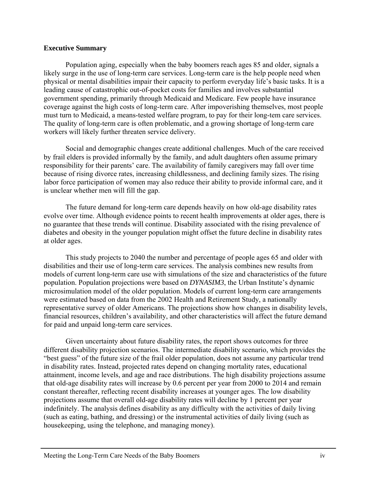### **Executive Summary**

Population aging, especially when the baby boomers reach ages 85 and older, signals a likely surge in the use of long-term care services. Long-term care is the help people need when physical or mental disabilities impair their capacity to perform everyday life's basic tasks. It is a leading cause of catastrophic out-of-pocket costs for families and involves substantial government spending, primarily through Medicaid and Medicare. Few people have insurance coverage against the high costs of long-term care. After impoverishing themselves, most people must turn to Medicaid, a means-tested welfare program, to pay for their long-tem care services. The quality of long-term care is often problematic, and a growing shortage of long-term care workers will likely further threaten service delivery.

Social and demographic changes create additional challenges. Much of the care received by frail elders is provided informally by the family, and adult daughters often assume primary responsibility for their parents' care. The availability of family caregivers may fall over time because of rising divorce rates, increasing childlessness, and declining family sizes. The rising labor force participation of women may also reduce their ability to provide informal care, and it is unclear whether men will fill the gap.

The future demand for long-term care depends heavily on how old-age disability rates evolve over time. Although evidence points to recent health improvements at older ages, there is no guarantee that these trends will continue. Disability associated with the rising prevalence of diabetes and obesity in the younger population might offset the future decline in disability rates at older ages.

This study projects to 2040 the number and percentage of people ages 65 and older with disabilities and their use of long-term care services. The analysis combines new results from models of current long-term care use with simulations of the size and characteristics of the future population. Population projections were based on *DYNASIM3*, the Urban Institute's dynamic microsimulation model of the older population. Models of current long-term care arrangements were estimated based on data from the 2002 Health and Retirement Study, a nationally representative survey of older Americans. The projections show how changes in disability levels, financial resources, children's availability, and other characteristics will affect the future demand for paid and unpaid long-term care services.

Given uncertainty about future disability rates, the report shows outcomes for three different disability projection scenarios. The intermediate disability scenario, which provides the "best guess" of the future size of the frail older population, does not assume any particular trend in disability rates. Instead, projected rates depend on changing mortality rates, educational attainment, income levels, and age and race distributions. The high disability projections assume that old-age disability rates will increase by 0.6 percent per year from 2000 to 2014 and remain constant thereafter, reflecting recent disability increases at younger ages. The low disability projections assume that overall old-age disability rates will decline by 1 percent per year indefinitely. The analysis defines disability as any difficulty with the activities of daily living (such as eating, bathing, and dressing) or the instrumental activities of daily living (such as housekeeping, using the telephone, and managing money).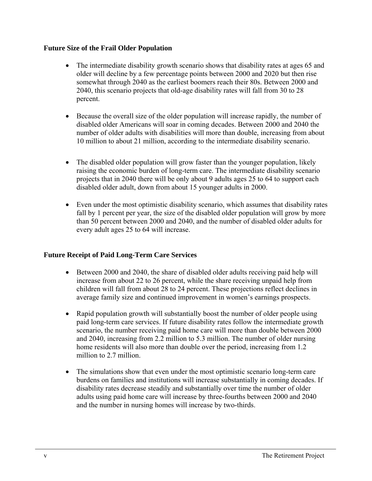# **Future Size of the Frail Older Population**

- The intermediate disability growth scenario shows that disability rates at ages 65 and older will decline by a few percentage points between 2000 and 2020 but then rise somewhat through 2040 as the earliest boomers reach their 80s. Between 2000 and 2040, this scenario projects that old-age disability rates will fall from 30 to 28 percent.
- Because the overall size of the older population will increase rapidly, the number of disabled older Americans will soar in coming decades. Between 2000 and 2040 the number of older adults with disabilities will more than double, increasing from about 10 million to about 21 million, according to the intermediate disability scenario.
- The disabled older population will grow faster than the younger population, likely raising the economic burden of long-term care. The intermediate disability scenario projects that in 2040 there will be only about 9 adults ages 25 to 64 to support each disabled older adult, down from about 15 younger adults in 2000.
- Even under the most optimistic disability scenario, which assumes that disability rates fall by 1 percent per year, the size of the disabled older population will grow by more than 50 percent between 2000 and 2040, and the number of disabled older adults for every adult ages 25 to 64 will increase.

# **Future Receipt of Paid Long-Term Care Services**

- Between 2000 and 2040, the share of disabled older adults receiving paid help will increase from about 22 to 26 percent, while the share receiving unpaid help from children will fall from about 28 to 24 percent. These projections reflect declines in average family size and continued improvement in women's earnings prospects.
- Rapid population growth will substantially boost the number of older people using paid long-term care services. If future disability rates follow the intermediate growth scenario, the number receiving paid home care will more than double between 2000 and 2040, increasing from 2.2 million to 5.3 million. The number of older nursing home residents will also more than double over the period, increasing from 1.2 million to 2.7 million.
- The simulations show that even under the most optimistic scenario long-term care burdens on families and institutions will increase substantially in coming decades. If disability rates decrease steadily and substantially over time the number of older adults using paid home care will increase by three-fourths between 2000 and 2040 and the number in nursing homes will increase by two-thirds.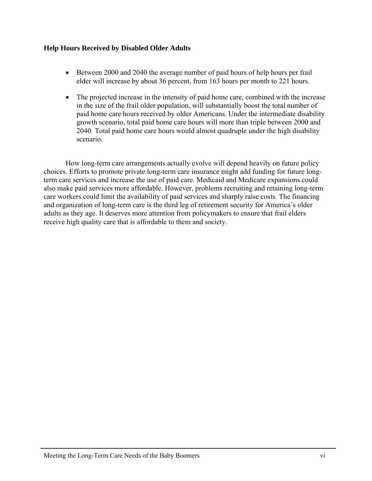# **Help Hours Received by Disabled Older Adults**

- Between 2000 and 2040 the average number of paid hours of help hours per frail elder will increase by about 36 percent, from 163 hours per month to 221 hours.
- The projected increase in the intensity of paid home care, combined with the increase in the size of the frail older population, will substantially boost the total number of paid home care hours received by older Americans. Under the intermediate disability growth scenario, total paid home care hours will more than triple between 2000 and 2040. Total paid home care hours would almost quadruple under the high disability scenario.

How long-term care arrangements actually evolve will depend heavily on future policy choices. Efforts to promote private long-term care insurance might add funding for future longterm care services and increase the use of paid care. Medicaid and Medicare expansions could also make paid services more affordable. However, problems recruiting and retaining long-term care workers could limit the availability of paid services and sharply raise costs. The financing and organization of long-term care is the third leg of retirement security for America's older adults as they age. It deserves more attention from policymakers to ensure that frail elders receive high quality care that is affordable to them and society.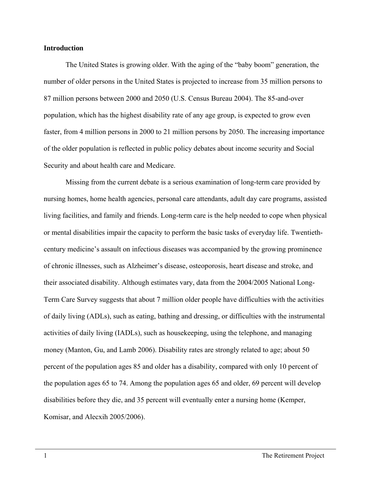#### **Introduction**

The United States is growing older. With the aging of the "baby boom" generation, the number of older persons in the United States is projected to increase from 35 million persons to 87 million persons between 2000 and 2050 (U.S. Census Bureau 2004). The 85-and-over population, which has the highest disability rate of any age group, is expected to grow even faster, from 4 million persons in 2000 to 21 million persons by 2050. The increasing importance of the older population is reflected in public policy debates about income security and Social Security and about health care and Medicare.

Missing from the current debate is a serious examination of long-term care provided by nursing homes, home health agencies, personal care attendants, adult day care programs, assisted living facilities, and family and friends. Long-term care is the help needed to cope when physical or mental disabilities impair the capacity to perform the basic tasks of everyday life. Twentiethcentury medicine's assault on infectious diseases was accompanied by the growing prominence of chronic illnesses, such as Alzheimer's disease, osteoporosis, heart disease and stroke, and their associated disability. Although estimates vary, data from the 2004/2005 National Long-Term Care Survey suggests that about 7 million older people have difficulties with the activities of daily living (ADLs), such as eating, bathing and dressing, or difficulties with the instrumental activities of daily living (IADLs), such as housekeeping, using the telephone, and managing money (Manton, Gu, and Lamb 2006). Disability rates are strongly related to age; about 50 percent of the population ages 85 and older has a disability, compared with only 10 percent of the population ages 65 to 74. Among the population ages 65 and older, 69 percent will develop disabilities before they die, and 35 percent will eventually enter a nursing home (Kemper, Komisar, and Alecxih 2005/2006).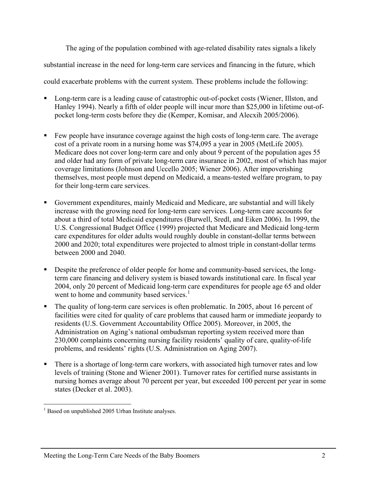The aging of the population combined with age-related disability rates signals a likely substantial increase in the need for long-term care services and financing in the future, which could exacerbate problems with the current system. These problems include the following:

- Long-term care is a leading cause of catastrophic out-of-pocket costs (Wiener, Illston, and Hanley 1994). Nearly a fifth of older people will incur more than \$25,000 in lifetime out-ofpocket long-term costs before they die (Kemper, Komisar, and Alecxih 2005/2006).
- Few people have insurance coverage against the high costs of long-term care. The average cost of a private room in a nursing home was \$74,095 a year in 2005 (MetLife 2005). Medicare does not cover long-term care and only about 9 percent of the population ages 55 and older had any form of private long-term care insurance in 2002, most of which has major coverage limitations (Johnson and Uccello 2005; Wiener 2006). After impoverishing themselves, most people must depend on Medicaid, a means-tested welfare program, to pay for their long-term care services.
- Government expenditures, mainly Medicaid and Medicare, are substantial and will likely increase with the growing need for long-term care services. Long-term care accounts for about a third of total Medicaid expenditures (Burwell, Sredl, and Eiken 2006). In 1999, the U.S. Congressional Budget Office (1999) projected that Medicare and Medicaid long-term care expenditures for older adults would roughly double in constant-dollar terms between 2000 and 2020; total expenditures were projected to almost triple in constant-dollar terms between 2000 and 2040.
- Despite the preference of older people for home and community-based services, the longterm care financing and delivery system is biased towards institutional care. In fiscal year 2004, only 20 percent of Medicaid long-term care expenditures for people age 65 and older went to home and community based services.<sup>[1](#page-11-0)</sup>
- The quality of long-term care services is often problematic. In 2005, about 16 percent of facilities were cited for quality of care problems that caused harm or immediate jeopardy to residents (U.S. Government Accountability Office 2005). Moreover, in 2005, the Administration on Aging's national ombudsman reporting system received more than 230,000 complaints concerning nursing facility residents' quality of care, quality-of-life problems, and residents' rights (U.S. Administration on Aging 2007).
- There is a shortage of long-term care workers, with associated high turnover rates and low levels of training (Stone and Wiener 2001). Turnover rates for certified nurse assistants in nursing homes average about 70 percent per year, but exceeded 100 percent per year in some states (Decker et al. 2003).

<span id="page-11-0"></span> $\overline{a}$ <sup>1</sup> Based on unpublished 2005 Urban Institute analyses.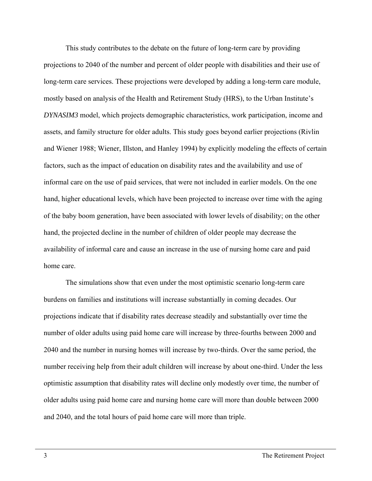This study contributes to the debate on the future of long-term care by providing projections to 2040 of the number and percent of older people with disabilities and their use of long-term care services. These projections were developed by adding a long-term care module, mostly based on analysis of the Health and Retirement Study (HRS), to the Urban Institute's *DYNASIM3* model, which projects demographic characteristics, work participation, income and assets, and family structure for older adults. This study goes beyond earlier projections (Rivlin and Wiener 1988; Wiener, Illston, and Hanley 1994) by explicitly modeling the effects of certain factors, such as the impact of education on disability rates and the availability and use of informal care on the use of paid services, that were not included in earlier models. On the one hand, higher educational levels, which have been projected to increase over time with the aging of the baby boom generation, have been associated with lower levels of disability; on the other hand, the projected decline in the number of children of older people may decrease the availability of informal care and cause an increase in the use of nursing home care and paid home care.

The simulations show that even under the most optimistic scenario long-term care burdens on families and institutions will increase substantially in coming decades. Our projections indicate that if disability rates decrease steadily and substantially over time the number of older adults using paid home care will increase by three-fourths between 2000 and 2040 and the number in nursing homes will increase by two-thirds. Over the same period, the number receiving help from their adult children will increase by about one-third. Under the less optimistic assumption that disability rates will decline only modestly over time, the number of older adults using paid home care and nursing home care will more than double between 2000 and 2040, and the total hours of paid home care will more than triple.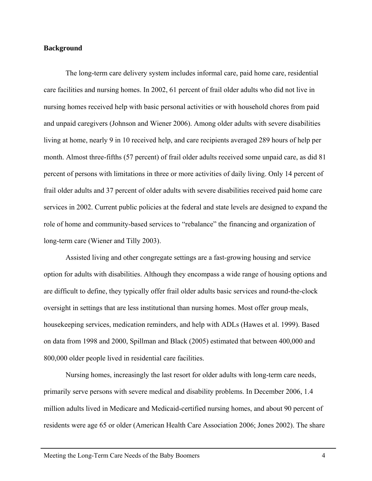#### **Background**

The long-term care delivery system includes informal care, paid home care, residential care facilities and nursing homes. In 2002, 61 percent of frail older adults who did not live in nursing homes received help with basic personal activities or with household chores from paid and unpaid caregivers (Johnson and Wiener 2006). Among older adults with severe disabilities living at home, nearly 9 in 10 received help, and care recipients averaged 289 hours of help per month. Almost three-fifths (57 percent) of frail older adults received some unpaid care, as did 81 percent of persons with limitations in three or more activities of daily living. Only 14 percent of frail older adults and 37 percent of older adults with severe disabilities received paid home care services in 2002. Current public policies at the federal and state levels are designed to expand the role of home and community-based services to "rebalance" the financing and organization of long-term care (Wiener and Tilly 2003).

Assisted living and other congregate settings are a fast-growing housing and service option for adults with disabilities. Although they encompass a wide range of housing options and are difficult to define, they typically offer frail older adults basic services and round-the-clock oversight in settings that are less institutional than nursing homes. Most offer group meals, housekeeping services, medication reminders, and help with ADLs (Hawes et al. 1999). Based on data from 1998 and 2000, Spillman and Black (2005) estimated that between 400,000 and 800,000 older people lived in residential care facilities.

Nursing homes, increasingly the last resort for older adults with long-term care needs, primarily serve persons with severe medical and disability problems. In December 2006, 1.4 million adults lived in Medicare and Medicaid-certified nursing homes, and about 90 percent of residents were age 65 or older (American Health Care Association 2006; Jones 2002). The share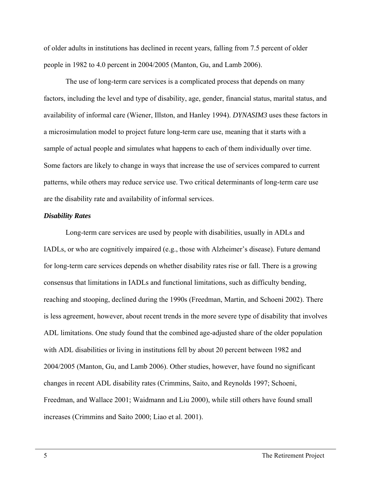of older adults in institutions has declined in recent years, falling from 7.5 percent of older people in 1982 to 4.0 percent in 2004/2005 (Manton, Gu, and Lamb 2006).

The use of long-term care services is a complicated process that depends on many factors, including the level and type of disability, age, gender, financial status, marital status, and availability of informal care (Wiener, Illston, and Hanley 1994). *DYNASIM3* uses these factors in a microsimulation model to project future long-term care use, meaning that it starts with a sample of actual people and simulates what happens to each of them individually over time. Some factors are likely to change in ways that increase the use of services compared to current patterns, while others may reduce service use. Two critical determinants of long-term care use are the disability rate and availability of informal services.

#### *Disability Rates*

Long-term care services are used by people with disabilities, usually in ADLs and IADLs, or who are cognitively impaired (e.g., those with Alzheimer's disease). Future demand for long-term care services depends on whether disability rates rise or fall. There is a growing consensus that limitations in IADLs and functional limitations, such as difficulty bending, reaching and stooping, declined during the 1990s (Freedman, Martin, and Schoeni 2002). There is less agreement, however, about recent trends in the more severe type of disability that involves ADL limitations. One study found that the combined age-adjusted share of the older population with ADL disabilities or living in institutions fell by about 20 percent between 1982 and 2004/2005 (Manton, Gu, and Lamb 2006). Other studies, however, have found no significant changes in recent ADL disability rates (Crimmins, Saito, and Reynolds 1997; Schoeni, Freedman, and Wallace 2001; Waidmann and Liu 2000), while still others have found small increases (Crimmins and Saito 2000; Liao et al. 2001).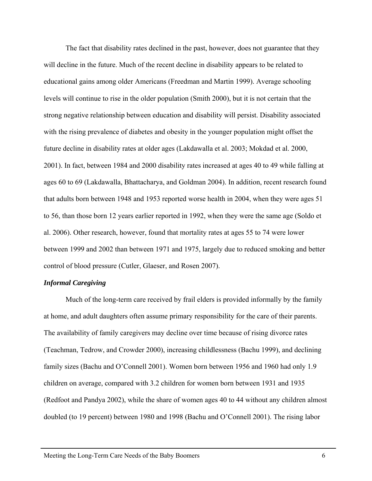The fact that disability rates declined in the past, however, does not guarantee that they will decline in the future. Much of the recent decline in disability appears to be related to educational gains among older Americans (Freedman and Martin 1999). Average schooling levels will continue to rise in the older population (Smith 2000), but it is not certain that the strong negative relationship between education and disability will persist. Disability associated with the rising prevalence of diabetes and obesity in the younger population might offset the future decline in disability rates at older ages (Lakdawalla et al. 2003; Mokdad et al. 2000, 2001). In fact, between 1984 and 2000 disability rates increased at ages 40 to 49 while falling at ages 60 to 69 (Lakdawalla, Bhattacharya, and Goldman 2004). In addition, recent research found that adults born between 1948 and 1953 reported worse health in 2004, when they were ages 51 to 56, than those born 12 years earlier reported in 1992, when they were the same age (Soldo et al. 2006). Other research, however, found that mortality rates at ages 55 to 74 were lower between 1999 and 2002 than between 1971 and 1975, largely due to reduced smoking and better control of blood pressure (Cutler, Glaeser, and Rosen 2007).

#### *Informal Caregiving*

Much of the long-term care received by frail elders is provided informally by the family at home, and adult daughters often assume primary responsibility for the care of their parents. The availability of family caregivers may decline over time because of rising divorce rates (Teachman, Tedrow, and Crowder 2000), increasing childlessness (Bachu 1999), and declining family sizes (Bachu and O'Connell 2001). Women born between 1956 and 1960 had only 1.9 children on average, compared with 3.2 children for women born between 1931 and 1935 (Redfoot and Pandya 2002), while the share of women ages 40 to 44 without any children almost doubled (to 19 percent) between 1980 and 1998 (Bachu and O'Connell 2001). The rising labor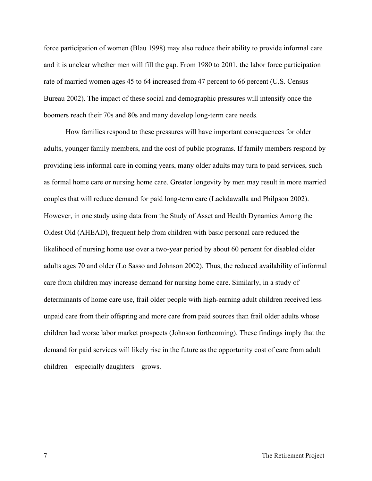force participation of women (Blau 1998) may also reduce their ability to provide informal care and it is unclear whether men will fill the gap. From 1980 to 2001, the labor force participation rate of married women ages 45 to 64 increased from 47 percent to 66 percent (U.S. Census Bureau 2002). The impact of these social and demographic pressures will intensify once the boomers reach their 70s and 80s and many develop long-term care needs.

How families respond to these pressures will have important consequences for older adults, younger family members, and the cost of public programs. If family members respond by providing less informal care in coming years, many older adults may turn to paid services, such as formal home care or nursing home care. Greater longevity by men may result in more married couples that will reduce demand for paid long-term care (Lackdawalla and Philpson 2002). However, in one study using data from the Study of Asset and Health Dynamics Among the Oldest Old (AHEAD), frequent help from children with basic personal care reduced the likelihood of nursing home use over a two-year period by about 60 percent for disabled older adults ages 70 and older (Lo Sasso and Johnson 2002). Thus, the reduced availability of informal care from children may increase demand for nursing home care. Similarly, in a study of determinants of home care use, frail older people with high-earning adult children received less unpaid care from their offspring and more care from paid sources than frail older adults whose children had worse labor market prospects (Johnson forthcoming). These findings imply that the demand for paid services will likely rise in the future as the opportunity cost of care from adult children—especially daughters—grows.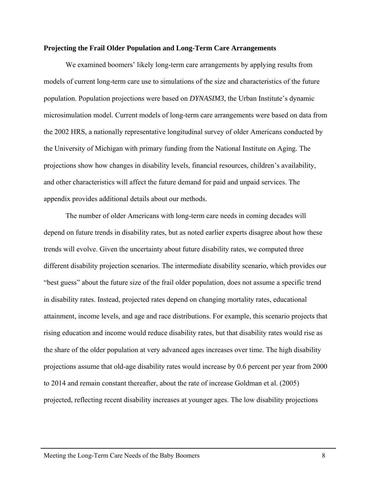#### **Projecting the Frail Older Population and Long-Term Care Arrangements**

 We examined boomers' likely long-term care arrangements by applying results from models of current long-term care use to simulations of the size and characteristics of the future population. Population projections were based on *DYNASIM3*, the Urban Institute's dynamic microsimulation model. Current models of long-term care arrangements were based on data from the 2002 HRS, a nationally representative longitudinal survey of older Americans conducted by the University of Michigan with primary funding from the National Institute on Aging. The projections show how changes in disability levels, financial resources, children's availability, and other characteristics will affect the future demand for paid and unpaid services. The appendix provides additional details about our methods.

 The number of older Americans with long-term care needs in coming decades will depend on future trends in disability rates, but as noted earlier experts disagree about how these trends will evolve. Given the uncertainty about future disability rates, we computed three different disability projection scenarios. The intermediate disability scenario, which provides our "best guess" about the future size of the frail older population, does not assume a specific trend in disability rates. Instead, projected rates depend on changing mortality rates, educational attainment, income levels, and age and race distributions. For example, this scenario projects that rising education and income would reduce disability rates, but that disability rates would rise as the share of the older population at very advanced ages increases over time. The high disability projections assume that old-age disability rates would increase by 0.6 percent per year from 2000 to 2014 and remain constant thereafter, about the rate of increase Goldman et al. (2005) projected, reflecting recent disability increases at younger ages. The low disability projections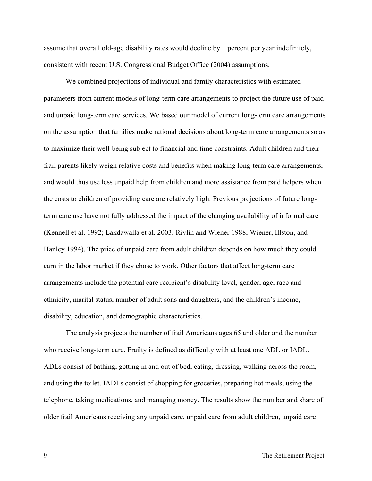assume that overall old-age disability rates would decline by 1 percent per year indefinitely, consistent with recent U.S. Congressional Budget Office (2004) assumptions.

We combined projections of individual and family characteristics with estimated parameters from current models of long-term care arrangements to project the future use of paid and unpaid long-term care services. We based our model of current long-term care arrangements on the assumption that families make rational decisions about long-term care arrangements so as to maximize their well-being subject to financial and time constraints. Adult children and their frail parents likely weigh relative costs and benefits when making long-term care arrangements, and would thus use less unpaid help from children and more assistance from paid helpers when the costs to children of providing care are relatively high. Previous projections of future longterm care use have not fully addressed the impact of the changing availability of informal care (Kennell et al. 1992; Lakdawalla et al. 2003; Rivlin and Wiener 1988; Wiener, Illston, and Hanley 1994). The price of unpaid care from adult children depends on how much they could earn in the labor market if they chose to work. Other factors that affect long-term care arrangements include the potential care recipient's disability level, gender, age, race and ethnicity, marital status, number of adult sons and daughters, and the children's income, disability, education, and demographic characteristics.

 The analysis projects the number of frail Americans ages 65 and older and the number who receive long-term care. Frailty is defined as difficulty with at least one ADL or IADL. ADLs consist of bathing, getting in and out of bed, eating, dressing, walking across the room, and using the toilet. IADLs consist of shopping for groceries, preparing hot meals, using the telephone, taking medications, and managing money. The results show the number and share of older frail Americans receiving any unpaid care, unpaid care from adult children, unpaid care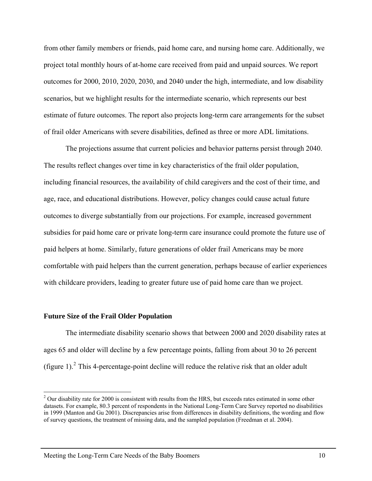from other family members or friends, paid home care, and nursing home care. Additionally, we project total monthly hours of at-home care received from paid and unpaid sources. We report outcomes for 2000, 2010, 2020, 2030, and 2040 under the high, intermediate, and low disability scenarios, but we highlight results for the intermediate scenario, which represents our best estimate of future outcomes. The report also projects long-term care arrangements for the subset of frail older Americans with severe disabilities, defined as three or more ADL limitations.

 The projections assume that current policies and behavior patterns persist through 2040. The results reflect changes over time in key characteristics of the frail older population, including financial resources, the availability of child caregivers and the cost of their time, and age, race, and educational distributions. However, policy changes could cause actual future outcomes to diverge substantially from our projections. For example, increased government subsidies for paid home care or private long-term care insurance could promote the future use of paid helpers at home. Similarly, future generations of older frail Americans may be more comfortable with paid helpers than the current generation, perhaps because of earlier experiences with childcare providers, leading to greater future use of paid home care than we project.

#### **Future Size of the Frail Older Population**

 $\overline{a}$ 

 The intermediate disability scenario shows that between 2000 and 2020 disability rates at ages 65 and older will decline by a few percentage points, falling from about 30 to 26 percent (figure 1).  $2$  This 4-percentage-point decline will reduce the relative risk that an older adult

<span id="page-19-0"></span> $2$  Our disability rate for 2000 is consistent with results from the HRS, but exceeds rates estimated in some other datasets. For example, 80.3 percent of respondents in the National Long-Term Care Survey reported no disabilities in 1999 (Manton and Gu 2001). Discrepancies arise from differences in disability definitions, the wording and flow of survey questions, the treatment of missing data, and the sampled population (Freedman et al. 2004).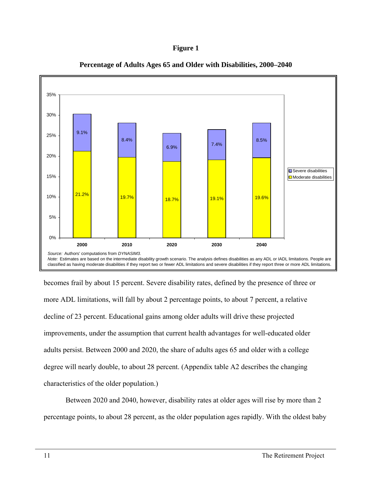



**Percentage of Adults Ages 65 and Older with Disabilities, 2000–2040** 

becomes frail by about 15 percent. Severe disability rates, defined by the presence of three or more ADL limitations, will fall by about 2 percentage points, to about 7 percent, a relative decline of 23 percent. Educational gains among older adults will drive these projected improvements, under the assumption that current health advantages for well-educated older adults persist. Between 2000 and 2020, the share of adults ages 65 and older with a college degree will nearly double, to about 28 percent. (Appendix table A2 describes the changing characteristics of the older population.)

 Between 2020 and 2040, however, disability rates at older ages will rise by more than 2 percentage points, to about 28 percent, as the older population ages rapidly. With the oldest baby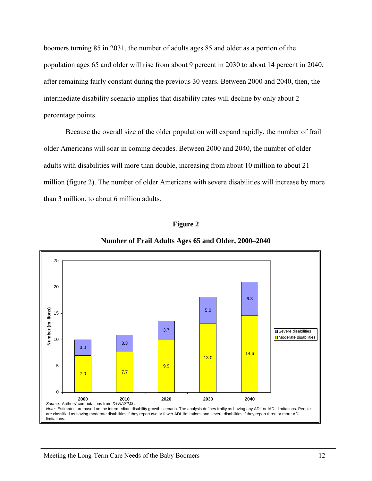boomers turning 85 in 2031, the number of adults ages 85 and older as a portion of the population ages 65 and older will rise from about 9 percent in 2030 to about 14 percent in 2040, after remaining fairly constant during the previous 30 years. Between 2000 and 2040, then, the intermediate disability scenario implies that disability rates will decline by only about 2 percentage points.

Because the overall size of the older population will expand rapidly, the number of frail older Americans will soar in coming decades. Between 2000 and 2040, the number of older adults with disabilities will more than double, increasing from about 10 million to about 21 million (figure 2). The number of older Americans with severe disabilities will increase by more than 3 million, to about 6 million adults.



**Figure 2** 

**Number of Frail Adults Ages 65 and Older, 2000–2040**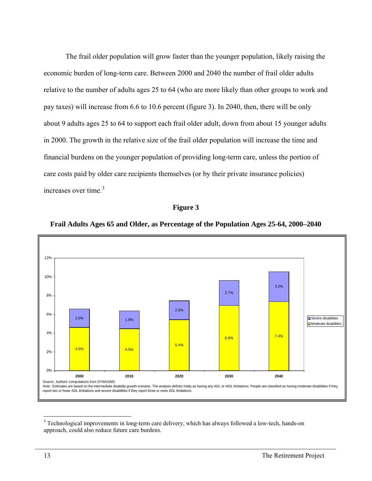The frail older population will grow faster than the younger population, likely raising the economic burden of long-term care. Between 2000 and 2040 the number of frail older adults relative to the number of adults ages 25 to 64 (who are more likely than other groups to work and pay taxes) will increase from 6.6 to 10.6 percent (figure 3). In 2040, then, there will be only about 9 adults ages 25 to 64 to support each frail older adult, down from about 15 younger adults in 2000. The growth in the relative size of the frail older population will increase the time and financial burdens on the younger population of providing long-term care, unless the portion of care costs paid by older care recipients themselves (or by their private insurance policies) increases over time. $3$ 

#### **Figure 3**



#### **Frail Adults Ages 65 and Older, as Percentage of the Population Ages 25-64, 2000–2040**

<span id="page-22-0"></span><sup>&</sup>lt;sup>3</sup> Technological improvements in long-term care delivery, which has always followed a low-tech, hands-on approach, could also reduce future care burdens.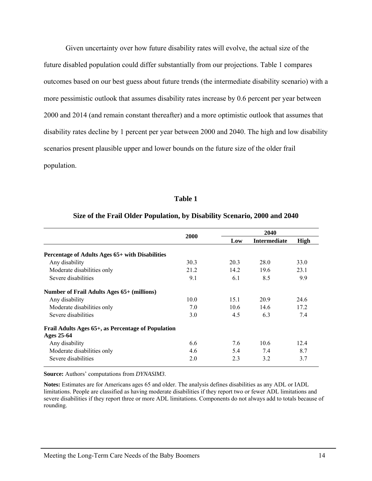Given uncertainty over how future disability rates will evolve, the actual size of the future disabled population could differ substantially from our projections. Table 1 compares outcomes based on our best guess about future trends (the intermediate disability scenario) with a more pessimistic outlook that assumes disability rates increase by 0.6 percent per year between 2000 and 2014 (and remain constant thereafter) and a more optimistic outlook that assumes that disability rates decline by 1 percent per year between 2000 and 2040. The high and low disability scenarios present plausible upper and lower bounds on the future size of the older frail population.

#### **Table 1**

|                                                                  | 2000 | 2040 |                     |      |  |
|------------------------------------------------------------------|------|------|---------------------|------|--|
|                                                                  |      | Low  | <b>Intermediate</b> | High |  |
| Percentage of Adults Ages 65+ with Disabilities                  |      |      |                     |      |  |
| Any disability                                                   | 30.3 | 20.3 | 28.0                | 33.0 |  |
| Moderate disabilities only                                       | 21.2 | 14.2 | 19.6                | 23.1 |  |
| Severe disabilities                                              | 9.1  | 6.1  | 8.5                 | 9.9  |  |
| <b>Number of Frail Adults Ages 65+ (millions)</b>                |      |      |                     |      |  |
| Any disability                                                   | 10.0 | 15.1 | 20.9                | 24.6 |  |
| Moderate disabilities only                                       | 7.0  | 10.6 | 14.6                | 17.2 |  |
| Severe disabilities                                              | 3.0  | 4.5  | 6.3                 | 7.4  |  |
| Frail Adults Ages 65+, as Percentage of Population<br>Ages 25-64 |      |      |                     |      |  |
| Any disability                                                   | 6.6  | 7.6  | 10.6                | 12.4 |  |
| Moderate disabilities only                                       | 4.6  | 5.4  | 7.4                 | 8.7  |  |
| Severe disabilities                                              | 2.0  | 2.3  | 3.2                 | 3.7  |  |

#### **Size of the Frail Older Population, by Disability Scenario, 2000 and 2040**

**Source:** Authors' computations from *DYNASIM3*.

**Notes:** Estimates are for Americans ages 65 and older. The analysis defines disabilities as any ADL or IADL limitations. People are classified as having moderate disabilities if they report two or fewer ADL limitations and severe disabilities if they report three or more ADL limitations. Components do not always add to totals because of rounding.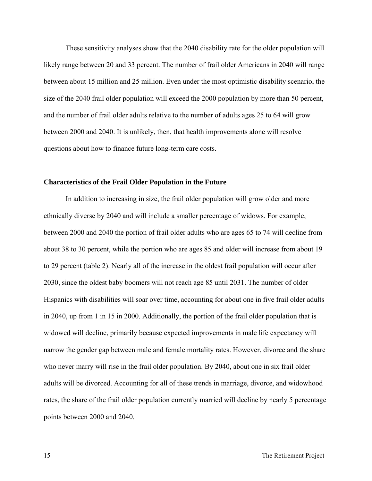These sensitivity analyses show that the 2040 disability rate for the older population will likely range between 20 and 33 percent. The number of frail older Americans in 2040 will range between about 15 million and 25 million. Even under the most optimistic disability scenario, the size of the 2040 frail older population will exceed the 2000 population by more than 50 percent, and the number of frail older adults relative to the number of adults ages 25 to 64 will grow between 2000 and 2040. It is unlikely, then, that health improvements alone will resolve questions about how to finance future long-term care costs.

#### **Characteristics of the Frail Older Population in the Future**

 In addition to increasing in size, the frail older population will grow older and more ethnically diverse by 2040 and will include a smaller percentage of widows. For example, between 2000 and 2040 the portion of frail older adults who are ages 65 to 74 will decline from about 38 to 30 percent, while the portion who are ages 85 and older will increase from about 19 to 29 percent (table 2). Nearly all of the increase in the oldest frail population will occur after 2030, since the oldest baby boomers will not reach age 85 until 2031. The number of older Hispanics with disabilities will soar over time, accounting for about one in five frail older adults in 2040, up from 1 in 15 in 2000. Additionally, the portion of the frail older population that is widowed will decline, primarily because expected improvements in male life expectancy will narrow the gender gap between male and female mortality rates. However, divorce and the share who never marry will rise in the frail older population. By 2040, about one in six frail older adults will be divorced. Accounting for all of these trends in marriage, divorce, and widowhood rates, the share of the frail older population currently married will decline by nearly 5 percentage points between 2000 and 2040.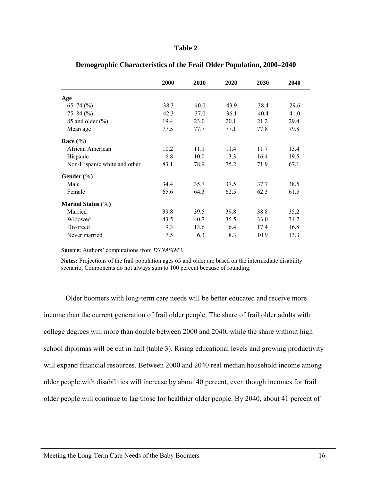#### **Table 2**

|                              | 2000 | 2010 | 2020 | 2030 | 2040 |
|------------------------------|------|------|------|------|------|
| Age                          |      |      |      |      |      |
| $65-74$ (%)                  | 38.3 | 40.0 | 43.9 | 38.4 | 29.6 |
| $75 - 84$ (%)                | 42.3 | 37.0 | 36.1 | 40.4 | 41.0 |
| 85 and older $(\% )$         | 19.4 | 23.0 | 20.1 | 21.2 | 29.4 |
| Mean age                     | 77.5 | 77.7 | 77.1 | 77.8 | 79.8 |
| Race $(\% )$                 |      |      |      |      |      |
| African American             | 10.2 | 11.1 | 11.4 | 11.7 | 13.4 |
| Hispanic                     | 6.8  | 10.0 | 13.3 | 16.4 | 19.5 |
| Non-Hispanic white and other | 83.1 | 78.9 | 75.2 | 71.9 | 67.1 |
| Gender (%)                   |      |      |      |      |      |
| Male                         | 34.4 | 35.7 | 37.5 | 37.7 | 38.5 |
| Female                       | 65.6 | 64.3 | 62.5 | 62.3 | 61.5 |
| Marital Status (%)           |      |      |      |      |      |
| Married                      | 39.8 | 39.5 | 39.8 | 38.8 | 35.2 |
| Widowed                      | 43.5 | 40.7 | 35.5 | 33.0 | 34.7 |
| Divorced                     | 9.3  | 13.6 | 16.4 | 17.4 | 16.8 |
| Never married                | 7.5  | 6.3  | 8.3  | 10.9 | 13.3 |
|                              |      |      |      |      |      |

#### **Demographic Characteristics of the Frail Older Population, 2000–2040**

**Source:** Authors' computations from *DYNASIM3*.

**Notes:** Projections of the frail population ages 65 and older are based on the intermediate disability scenario. Components do not always sum to 100 percent because of rounding.

 Older boomers with long-term care needs will be better educated and receive more income than the current generation of frail older people. The share of frail older adults with college degrees will more than double between 2000 and 2040, while the share without high school diplomas will be cut in half (table 3). Rising educational levels and growing productivity will expand financial resources. Between 2000 and 2040 real median household income among older people with disabilities will increase by about 40 percent, even though incomes for frail older people will continue to lag those for healthier older people. By 2040, about 41 percent of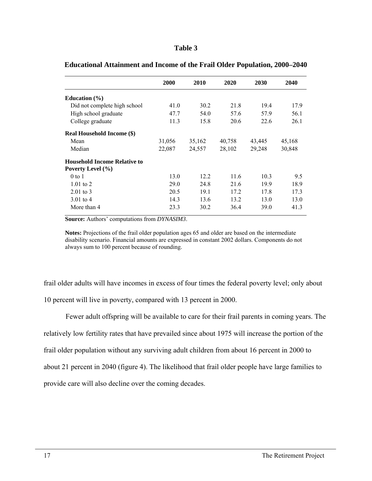#### **Table 3**

|                                     | 2000   | 2010   | 2020   | 2030   | 2040   |
|-------------------------------------|--------|--------|--------|--------|--------|
| Education $(\% )$                   |        |        |        |        |        |
| Did not complete high school        | 41.0   | 30.2   | 21.8   | 19.4   | 17.9   |
| High school graduate                | 47.7   | 54.0   | 57.6   | 57.9   | 56.1   |
| College graduate                    | 11.3   | 15.8   | 20.6   | 22.6   | 26.1   |
| <b>Real Household Income (\$)</b>   |        |        |        |        |        |
| Mean                                | 31,056 | 35,162 | 40,758 | 43,445 | 45,168 |
| Median                              | 22,087 | 24,557 | 28,102 | 29,248 | 30,848 |
| <b>Household Income Relative to</b> |        |        |        |        |        |
| Poverty Level (%)                   |        |        |        |        |        |
| $0$ to $1$                          | 13.0   | 12.2   | 11.6   | 10.3   | 9.5    |
| $1.01$ to 2                         | 29.0   | 24.8   | 21.6   | 19.9   | 18.9   |
| $2.01 \text{ to } 3$                | 20.5   | 19.1   | 17.2   | 17.8   | 17.3   |
| 3.01 to 4                           | 14.3   | 13.6   | 13.2   | 13.0   | 13.0   |
| More than 4                         | 23.3   | 30.2   | 36.4   | 39.0   | 41.3   |

# **Educational Attainment and Income of the Frail Older Population, 2000–2040**

**Source:** Authors' computations from *DYNASIM3*.

**Notes:** Projections of the frail older population ages 65 and older are based on the intermediate disability scenario. Financial amounts are expressed in constant 2002 dollars. Components do not always sum to 100 percent because of rounding.

frail older adults will have incomes in excess of four times the federal poverty level; only about 10 percent will live in poverty, compared with 13 percent in 2000.

 Fewer adult offspring will be available to care for their frail parents in coming years. The relatively low fertility rates that have prevailed since about 1975 will increase the portion of the frail older population without any surviving adult children from about 16 percent in 2000 to about 21 percent in 2040 (figure 4). The likelihood that frail older people have large families to provide care will also decline over the coming decades.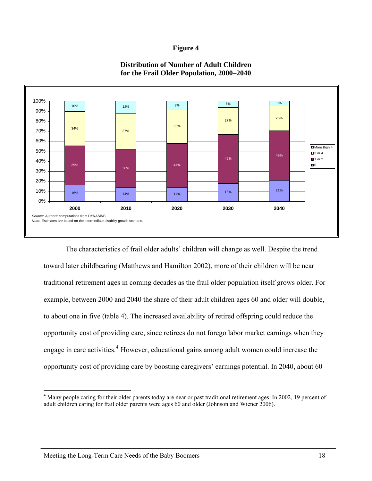#### **Figure 4**



### **Distribution of Number of Adult Children for the Frail Older Population, 2000–2040**

The characteristics of frail older adults' children will change as well. Despite the trend toward later childbearing (Matthews and Hamilton 2002), more of their children will be near traditional retirement ages in coming decades as the frail older population itself grows older. For example, between 2000 and 2040 the share of their adult children ages 60 and older will double, to about one in five (table 4). The increased availability of retired offspring could reduce the opportunity cost of providing care, since retirees do not forego labor market earnings when they engage in care activities.<sup>[4](#page-27-0)</sup> However, educational gains among adult women could increase the opportunity cost of providing care by boosting caregivers' earnings potential. In 2040, about 60

<span id="page-27-0"></span> $\overline{a}$ <sup>4</sup> Many people caring for their older parents today are near or past traditional retirement ages. In 2002, 19 percent of adult children caring for frail older parents were ages 60 and older (Johnson and Wiener 2006).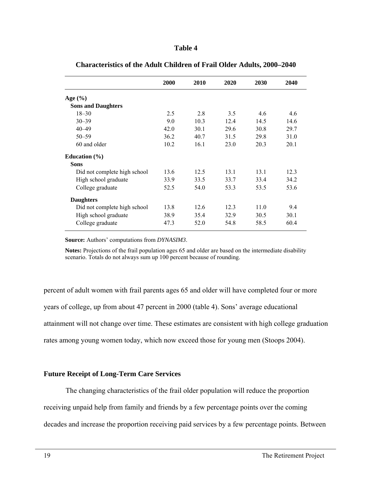|                              | 2000 | 2010 | 2020 | 2030 | 2040 |
|------------------------------|------|------|------|------|------|
| Age $(\% )$                  |      |      |      |      |      |
| <b>Sons and Daughters</b>    |      |      |      |      |      |
| $18 - 30$                    | 2.5  | 2.8  | 3.5  | 4.6  | 4.6  |
| $30 - 39$                    | 9.0  | 10.3 | 12.4 | 14.5 | 14.6 |
| $40 - 49$                    | 42.0 | 30.1 | 29.6 | 30.8 | 29.7 |
| $50 - 59$                    | 36.2 | 40.7 | 31.5 | 29.8 | 31.0 |
| 60 and older                 | 10.2 | 16.1 | 23.0 | 20.3 | 20.1 |
| Education $(\% )$            |      |      |      |      |      |
| <b>Sons</b>                  |      |      |      |      |      |
| Did not complete high school | 13.6 | 12.5 | 13.1 | 13.1 | 12.3 |
| High school graduate         | 33.9 | 33.5 | 33.7 | 33.4 | 34.2 |
| College graduate             | 52.5 | 54.0 | 53.3 | 53.5 | 53.6 |
| <b>Daughters</b>             |      |      |      |      |      |
| Did not complete high school | 13.8 | 12.6 | 12.3 | 11.0 | 9.4  |
| High school graduate         | 38.9 | 35.4 | 32.9 | 30.5 | 30.1 |
| College graduate             | 47.3 | 52.0 | 54.8 | 58.5 | 60.4 |

**Characteristics of the Adult Children of Frail Older Adults, 2000–2040** 

**Source:** Authors' computations from *DYNASIM3*.

**Notes:** Projections of the frail population ages 65 and older are based on the intermediate disability scenario. Totals do not always sum up 100 percent because of rounding.

percent of adult women with frail parents ages 65 and older will have completed four or more years of college, up from about 47 percent in 2000 (table 4). Sons' average educational attainment will not change over time. These estimates are consistent with high college graduation rates among young women today, which now exceed those for young men (Stoops 2004).

#### **Future Receipt of Long-Term Care Services**

 The changing characteristics of the frail older population will reduce the proportion receiving unpaid help from family and friends by a few percentage points over the coming decades and increase the proportion receiving paid services by a few percentage points. Between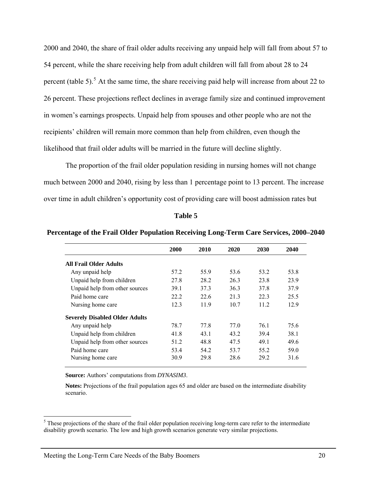2000 and 2040, the share of frail older adults receiving any unpaid help will fall from about 57 to 54 percent, while the share receiving help from adult children will fall from about 28 to 24 percent (table [5](#page-29-0)).<sup>5</sup> At the same time, the share receiving paid help will increase from about 22 to 26 percent. These projections reflect declines in average family size and continued improvement in women's earnings prospects. Unpaid help from spouses and other people who are not the recipients' children will remain more common than help from children, even though the likelihood that frail older adults will be married in the future will decline slightly.

The proportion of the frail older population residing in nursing homes will not change much between 2000 and 2040, rising by less than 1 percentage point to 13 percent. The increase over time in adult children's opportunity cost of providing care will boost admission rates but

#### **Table 5**

|                                       | 2000 | 2010 | 2020 | 2030 | 2040 |
|---------------------------------------|------|------|------|------|------|
| <b>All Frail Older Adults</b>         |      |      |      |      |      |
| Any unpaid help                       | 57.2 | 55.9 | 53.6 | 53.2 | 53.8 |
| Unpaid help from children             | 27.8 | 28.2 | 26.3 | 23.8 | 23.9 |
| Unpaid help from other sources        | 39.1 | 37.3 | 36.3 | 37.8 | 37.9 |
| Paid home care                        | 22.2 | 226  | 21.3 | 22.3 | 25.5 |
| Nursing home care                     | 123  | 11.9 | 10.7 | 11 2 | 12.9 |
| <b>Severely Disabled Older Adults</b> |      |      |      |      |      |
| Any unpaid help                       | 78.7 | 77.8 | 77.0 | 761  | 75.6 |
| Unpaid help from children             | 41.8 | 43 1 | 43.2 | 39.4 | 38.1 |
| Unpaid help from other sources        | 512  | 48.8 | 47.5 | 49 1 | 49.6 |
| Paid home care                        | 53.4 | 54.2 | 53.7 | 55.2 | 59.0 |
| Nursing home care                     | 30.9 | 29.8 | 28.6 | 29.2 | 31.6 |

**Percentage of the Frail Older Population Receiving Long-Term Care Services, 2000–2040** 

**Source:** Authors' computations from *DYNASIM3*.

**Notes:** Projections of the frail population ages 65 and older are based on the intermediate disability scenario.

<span id="page-29-0"></span> $<sup>5</sup>$  These projections of the share of the frail older population receiving long-term care refer to the intermediate</sup> disability growth scenario. The low and high growth scenarios generate very similar projections.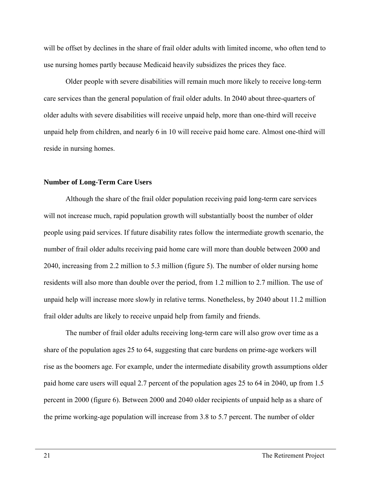will be offset by declines in the share of frail older adults with limited income, who often tend to use nursing homes partly because Medicaid heavily subsidizes the prices they face.

Older people with severe disabilities will remain much more likely to receive long-term care services than the general population of frail older adults. In 2040 about three-quarters of older adults with severe disabilities will receive unpaid help, more than one-third will receive unpaid help from children, and nearly 6 in 10 will receive paid home care. Almost one-third will reside in nursing homes.

#### **Number of Long-Term Care Users**

Although the share of the frail older population receiving paid long-term care services will not increase much, rapid population growth will substantially boost the number of older people using paid services. If future disability rates follow the intermediate growth scenario, the number of frail older adults receiving paid home care will more than double between 2000 and 2040, increasing from 2.2 million to 5.3 million (figure 5). The number of older nursing home residents will also more than double over the period, from 1.2 million to 2.7 million. The use of unpaid help will increase more slowly in relative terms. Nonetheless, by 2040 about 11.2 million frail older adults are likely to receive unpaid help from family and friends.

 The number of frail older adults receiving long-term care will also grow over time as a share of the population ages 25 to 64, suggesting that care burdens on prime-age workers will rise as the boomers age. For example, under the intermediate disability growth assumptions older paid home care users will equal 2.7 percent of the population ages 25 to 64 in 2040, up from 1.5 percent in 2000 (figure 6). Between 2000 and 2040 older recipients of unpaid help as a share of the prime working-age population will increase from 3.8 to 5.7 percent. The number of older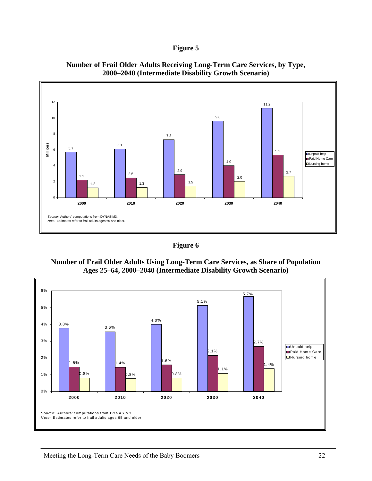



**Number of Frail Older Adults Receiving Long-Term Care Services, by Type, 2000–2040 (Intermediate Disability Growth Scenario)** 



**Number of Frail Older Adults Using Long-Term Care Services, as Share of Population Ages 25–64, 2000–2040 (Intermediate Disability Growth Scenario)** 

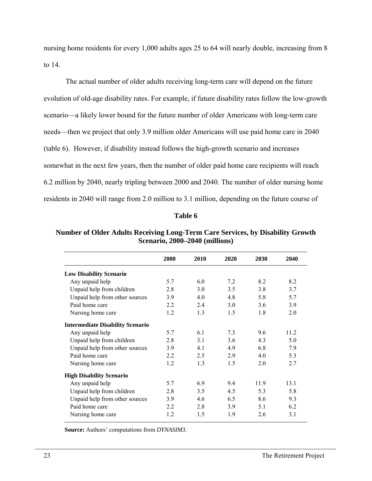nursing home residents for every 1,000 adults ages 25 to 64 will nearly double, increasing from 8 to 14.

 The actual number of older adults receiving long-term care will depend on the future evolution of old-age disability rates. For example, if future disability rates follow the low-growth scenario—a likely lower bound for the future number of older Americans with long-term care needs—then we project that only 3.9 million older Americans will use paid home care in 2040 (table 6). However, if disability instead follows the high-growth scenario and increases somewhat in the next few years, then the number of older paid home care recipients will reach 6.2 million by 2040, nearly tripling between 2000 and 2040. The number of older nursing home residents in 2040 will range from 2.0 million to 3.1 million, depending on the future course of

#### **Table 6**

|                                         | 2000 | 2010 | 2020 | 2030 | 2040 |
|-----------------------------------------|------|------|------|------|------|
| <b>Low Disability Scenario</b>          |      |      |      |      |      |
| Any unpaid help                         | 5.7  | 6.0  | 7.2  | 8.2  | 8.2  |
| Unpaid help from children               | 2.8  | 3.0  | 3.5  | 3.8  | 3.7  |
| Unpaid help from other sources          | 3.9  | 4.0  | 4.8  | 5.8  | 5.7  |
| Paid home care                          | 2.2  | 2.4  | 3.0  | 3.6  | 3.9  |
| Nursing home care                       | 1.2  | 1.3  | 1.5  | 1.8  | 2.0  |
| <b>Intermediate Disability Scenario</b> |      |      |      |      |      |
| Any unpaid help                         | 5.7  | 6.1  | 7.3  | 9.6  | 11.2 |
| Unpaid help from children               | 2.8  | 3.1  | 3.6  | 4.3  | 5.0  |
| Unpaid help from other sources          | 3.9  | 4.1  | 4.9  | 6.8  | 7.9  |
| Paid home care                          | 2.2  | 2.5  | 2.9  | 4.0  | 5.3  |
| Nursing home care                       | 1.2  | 1.3  | 1.5  | 2.0  | 2.7  |
| <b>High Disability Scenario</b>         |      |      |      |      |      |
| Any unpaid help                         | 5.7  | 6.9  | 9.4  | 11.9 | 13.1 |
| Unpaid help from children               | 2.8  | 3.5  | 4.5  | 5.3  | 5.8  |
| Unpaid help from other sources          | 3.9  | 4.6  | 6.5  | 8.6  | 9.3  |
| Paid home care                          | 2.2  | 2.8  | 3.9  | 5.1  | 6.2  |
| Nursing home care                       | 1.2  | 1.5  | 1.9  | 2.6  | 3.1  |

**Number of Older Adults Receiving Long-Term Care Services, by Disability Growth Scenario, 2000–2040 (millions)** 

**Source:** Authors' computations from *DYNASIM3*.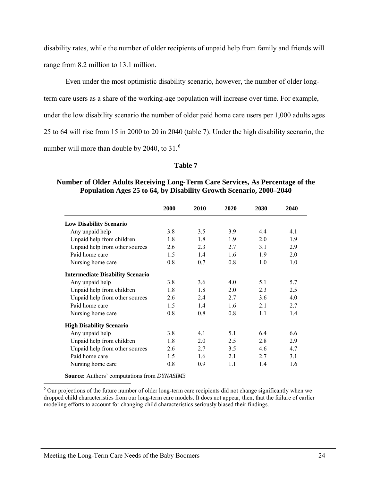disability rates, while the number of older recipients of unpaid help from family and friends will range from 8.2 million to 13.1 million.

Even under the most optimistic disability scenario, however, the number of older long-

term care users as a share of the working-age population will increase over time. For example,

under the low disability scenario the number of older paid home care users per 1,000 adults ages

25 to 64 will rise from 15 in 2000 to 20 in 2040 (table 7). Under the high disability scenario, the

number will more than double by 2040, to  $31<sup>6</sup>$  $31<sup>6</sup>$  $31<sup>6</sup>$ 

#### **Table 7**

### **Number of Older Adults Receiving Long-Term Care Services, As Percentage of the Population Ages 25 to 64, by Disability Growth Scenario, 2000–2040**

|                                         | 2000 | 2010 | 2020 | 2030 | 2040 |
|-----------------------------------------|------|------|------|------|------|
| <b>Low Disability Scenario</b>          |      |      |      |      |      |
| Any unpaid help                         | 3.8  | 3.5  | 3.9  | 44   | 41   |
| Unpaid help from children               | 1.8  | 1.8  | 1.9  | 2.0  | 19   |
| Unpaid help from other sources          | 2.6  | 2.3  | 2.7  | 3.1  | 2.9  |
| Paid home care                          | 1.5  | 1.4  | 1.6  | 1.9  | 2.0  |
| Nursing home care                       | 0.8  | 0.7  | 0.8  | 1.0  | 1.0  |
| <b>Intermediate Disability Scenario</b> |      |      |      |      |      |
| Any unpaid help                         | 3.8  | 3.6  | 4.0  | 51   | 5.7  |
| Unpaid help from children               | 1.8  | 1.8  | 2.0  | 2.3  | 2.5  |
| Unpaid help from other sources          | 2.6  | 24   | 27   | 3.6  | 40   |
| Paid home care                          | 1.5  | 14   | 1.6  | 2.1  | 2.7  |
| Nursing home care                       | 0.8  | 0.8  | 0.8  | 1.1  | 1.4  |
| <b>High Disability Scenario</b>         |      |      |      |      |      |
| Any unpaid help                         | 3.8  | 41   | 51   | 6.4  | 6.6  |
| Unpaid help from children               | 1.8  | 2.0  | 2.5  | 2.8  | 2.9  |
| Unpaid help from other sources          | 2.6  | 2.7  | 3.5  | 4.6  | 4.7  |
| Paid home care                          | 1.5  | 1.6  | 21   | 2.7  | 31   |
| Nursing home care                       | 0.8  | 0.9  | 1.1  | 1.4  | 1.6  |

**Source:** Authors' computations from *DYNASIM3*

<span id="page-33-0"></span><sup>&</sup>lt;sup>6</sup> Our projections of the future number of older long-term care recipients did not change significantly when we dropped child characteristics from our long-term care models. It does not appear, then, that the failure of earlier modeling efforts to account for changing child characteristics seriously biased their findings.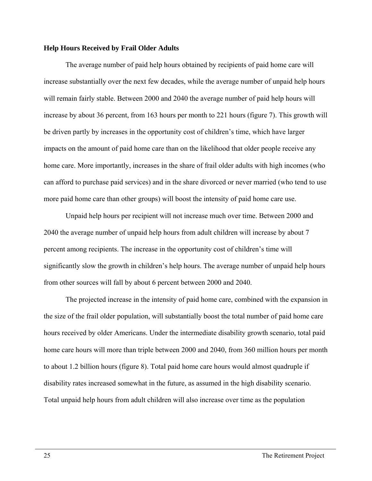#### **Help Hours Received by Frail Older Adults**

 The average number of paid help hours obtained by recipients of paid home care will increase substantially over the next few decades, while the average number of unpaid help hours will remain fairly stable. Between 2000 and 2040 the average number of paid help hours will increase by about 36 percent, from 163 hours per month to 221 hours (figure 7). This growth will be driven partly by increases in the opportunity cost of children's time, which have larger impacts on the amount of paid home care than on the likelihood that older people receive any home care. More importantly, increases in the share of frail older adults with high incomes (who can afford to purchase paid services) and in the share divorced or never married (who tend to use more paid home care than other groups) will boost the intensity of paid home care use.

Unpaid help hours per recipient will not increase much over time. Between 2000 and 2040 the average number of unpaid help hours from adult children will increase by about 7 percent among recipients. The increase in the opportunity cost of children's time will significantly slow the growth in children's help hours. The average number of unpaid help hours from other sources will fall by about 6 percent between 2000 and 2040.

 The projected increase in the intensity of paid home care, combined with the expansion in the size of the frail older population, will substantially boost the total number of paid home care hours received by older Americans. Under the intermediate disability growth scenario, total paid home care hours will more than triple between 2000 and 2040, from 360 million hours per month to about 1.2 billion hours (figure 8). Total paid home care hours would almost quadruple if disability rates increased somewhat in the future, as assumed in the high disability scenario. Total unpaid help hours from adult children will also increase over time as the population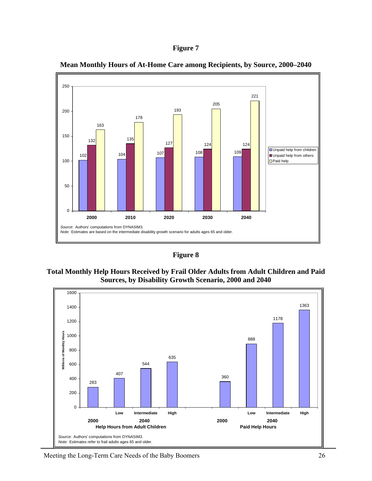



**Mean Monthly Hours of At-Home Care among Recipients, by Source, 2000–2040** 

**Figure 8** 





Meeting the Long-Term Care Needs of the Baby Boomers 26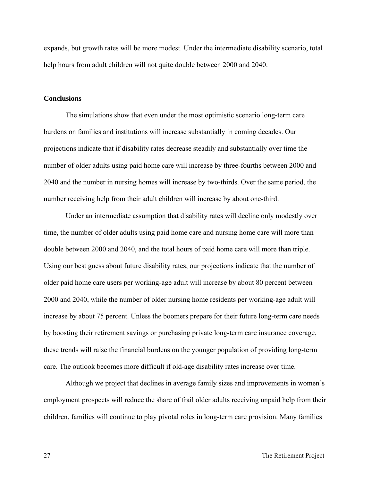expands, but growth rates will be more modest. Under the intermediate disability scenario, total help hours from adult children will not quite double between 2000 and 2040.

#### **Conclusions**

The simulations show that even under the most optimistic scenario long-term care burdens on families and institutions will increase substantially in coming decades. Our projections indicate that if disability rates decrease steadily and substantially over time the number of older adults using paid home care will increase by three-fourths between 2000 and 2040 and the number in nursing homes will increase by two-thirds. Over the same period, the number receiving help from their adult children will increase by about one-third.

Under an intermediate assumption that disability rates will decline only modestly over time, the number of older adults using paid home care and nursing home care will more than double between 2000 and 2040, and the total hours of paid home care will more than triple. Using our best guess about future disability rates, our projections indicate that the number of older paid home care users per working-age adult will increase by about 80 percent between 2000 and 2040, while the number of older nursing home residents per working-age adult will increase by about 75 percent. Unless the boomers prepare for their future long-term care needs by boosting their retirement savings or purchasing private long-term care insurance coverage, these trends will raise the financial burdens on the younger population of providing long-term care. The outlook becomes more difficult if old-age disability rates increase over time.

Although we project that declines in average family sizes and improvements in women's employment prospects will reduce the share of frail older adults receiving unpaid help from their children, families will continue to play pivotal roles in long-term care provision. Many families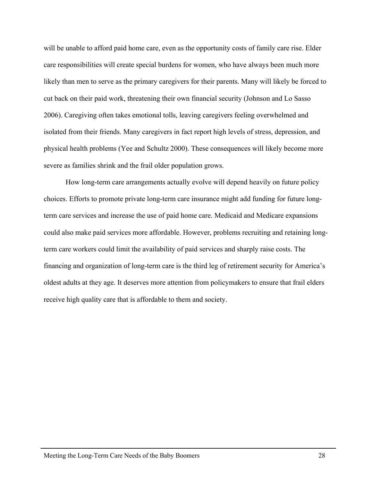will be unable to afford paid home care, even as the opportunity costs of family care rise. Elder care responsibilities will create special burdens for women, who have always been much more likely than men to serve as the primary caregivers for their parents. Many will likely be forced to cut back on their paid work, threatening their own financial security (Johnson and Lo Sasso 2006). Caregiving often takes emotional tolls, leaving caregivers feeling overwhelmed and isolated from their friends. Many caregivers in fact report high levels of stress, depression, and physical health problems (Yee and Schultz 2000). These consequences will likely become more severe as families shrink and the frail older population grows.

How long-term care arrangements actually evolve will depend heavily on future policy choices. Efforts to promote private long-term care insurance might add funding for future longterm care services and increase the use of paid home care. Medicaid and Medicare expansions could also make paid services more affordable. However, problems recruiting and retaining longterm care workers could limit the availability of paid services and sharply raise costs. The financing and organization of long-term care is the third leg of retirement security for America's oldest adults at they age. It deserves more attention from policymakers to ensure that frail elders receive high quality care that is affordable to them and society.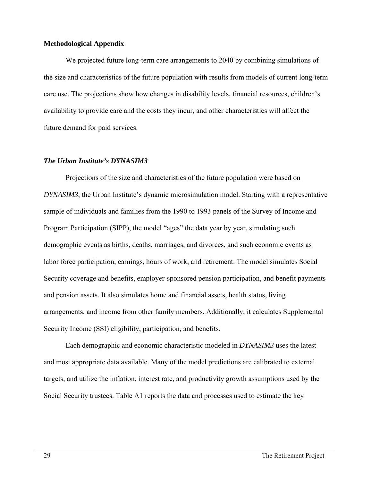#### **Methodological Appendix**

We projected future long-term care arrangements to 2040 by combining simulations of the size and characteristics of the future population with results from models of current long-term care use. The projections show how changes in disability levels, financial resources, children's availability to provide care and the costs they incur, and other characteristics will affect the future demand for paid services.

#### *The Urban Institute's DYNASIM3*

Projections of the size and characteristics of the future population were based on *DYNASIM3*, the Urban Institute's dynamic microsimulation model. Starting with a representative sample of individuals and families from the 1990 to 1993 panels of the Survey of Income and Program Participation (SIPP), the model "ages" the data year by year, simulating such demographic events as births, deaths, marriages, and divorces, and such economic events as labor force participation, earnings, hours of work, and retirement. The model simulates Social Security coverage and benefits, employer-sponsored pension participation, and benefit payments and pension assets. It also simulates home and financial assets, health status, living arrangements, and income from other family members. Additionally, it calculates Supplemental Security Income (SSI) eligibility, participation, and benefits.

 Each demographic and economic characteristic modeled in *DYNASIM3* uses the latest and most appropriate data available. Many of the model predictions are calibrated to external targets, and utilize the inflation, interest rate, and productivity growth assumptions used by the Social Security trustees. Table A1 reports the data and processes used to estimate the key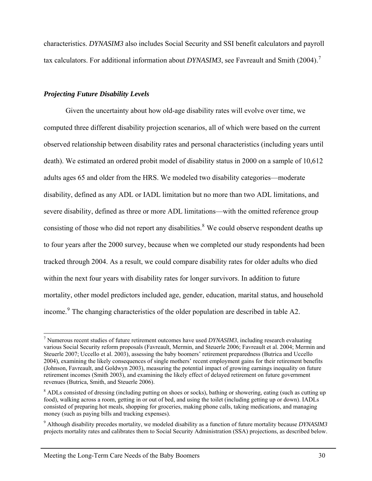characteristics. *DYNASIM3* also includes Social Security and SSI benefit calculators and payroll tax calculators. For additional information about *DYNASIM3*, see Favreault and Smith (2004).<sup>[7](#page-39-0)</sup>

#### *Projecting Future Disability Levels*

 $\overline{a}$ 

 Given the uncertainty about how old-age disability rates will evolve over time, we computed three different disability projection scenarios, all of which were based on the current observed relationship between disability rates and personal characteristics (including years until death). We estimated an ordered probit model of disability status in 2000 on a sample of 10,612 adults ages 65 and older from the HRS. We modeled two disability categories—moderate disability, defined as any ADL or IADL limitation but no more than two ADL limitations, and severe disability, defined as three or more ADL limitations—with the omitted reference group consisting of those who did not report any disabilities.<sup>[8](#page-39-1)</sup> We could observe respondent deaths up to four years after the 2000 survey, because when we completed our study respondents had been tracked through 2004. As a result, we could compare disability rates for older adults who died within the next four years with disability rates for longer survivors. In addition to future mortality, other model predictors included age, gender, education, marital status, and household income.<sup>[9](#page-39-2)</sup> The changing characteristics of the older population are described in table A2.

<span id="page-39-0"></span><sup>7</sup> Numerous recent studies of future retirement outcomes have used *DYNASIM3*, including research evaluating various Social Security reform proposals (Favreault, Mermin, and Steuerle 2006; Favreault et al. 2004; Mermin and Steuerle 2007; Uccello et al. 2003), assessing the baby boomers' retirement preparedness (Butrica and Uccello 2004), examining the likely consequences of single mothers' recent employment gains for their retirement benefits (Johnson, Favreault, and Goldwyn 2003), measuring the potential impact of growing earnings inequality on future retirement incomes (Smith 2003), and examining the likely effect of delayed retirement on future government revenues (Butrica, Smith, and Steuerle 2006).

<span id="page-39-1"></span><sup>&</sup>lt;sup>8</sup> ADLs consisted of dressing (including putting on shoes or socks), bathing or showering, eating (such as cutting up food), walking across a room, getting in or out of bed, and using the toilet (including getting up or down). IADLs consisted of preparing hot meals, shopping for groceries, making phone calls, taking medications, and managing money (such as paying bills and tracking expenses).

<span id="page-39-2"></span><sup>9</sup> Although disability precedes mortality, we modeled disability as a function of future mortality because *DYNASIM3* projects mortality rates and calibrates them to Social Security Administration (SSA) projections, as described below.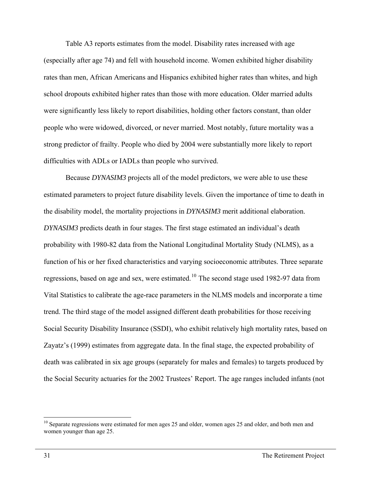Table A3 reports estimates from the model. Disability rates increased with age (especially after age 74) and fell with household income. Women exhibited higher disability rates than men, African Americans and Hispanics exhibited higher rates than whites, and high school dropouts exhibited higher rates than those with more education. Older married adults were significantly less likely to report disabilities, holding other factors constant, than older people who were widowed, divorced, or never married. Most notably, future mortality was a strong predictor of frailty. People who died by 2004 were substantially more likely to report difficulties with ADLs or IADLs than people who survived.

 Because *DYNASIM3* projects all of the model predictors, we were able to use these estimated parameters to project future disability levels. Given the importance of time to death in the disability model, the mortality projections in *DYNASIM3* merit additional elaboration. *DYNASIM3* predicts death in four stages. The first stage estimated an individual's death probability with 1980-82 data from the National Longitudinal Mortality Study (NLMS), as a function of his or her fixed characteristics and varying socioeconomic attributes. Three separate regressions, based on age and sex, were estimated.[10](#page-40-0) The second stage used 1982-97 data from Vital Statistics to calibrate the age-race parameters in the NLMS models and incorporate a time trend. The third stage of the model assigned different death probabilities for those receiving Social Security Disability Insurance (SSDI), who exhibit relatively high mortality rates, based on Zayatz's (1999) estimates from aggregate data. In the final stage, the expected probability of death was calibrated in six age groups (separately for males and females) to targets produced by the Social Security actuaries for the 2002 Trustees' Report. The age ranges included infants (not

<span id="page-40-0"></span><sup>&</sup>lt;sup>10</sup> Separate regressions were estimated for men ages 25 and older, women ages 25 and older, and both men and women younger than age 25.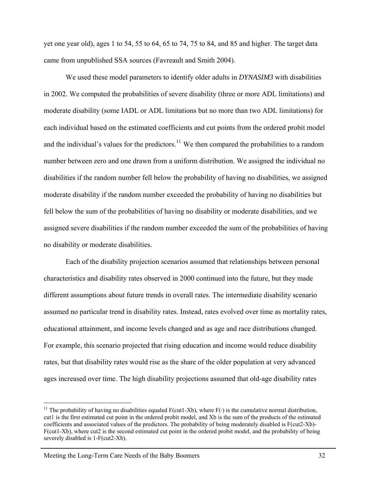yet one year old), ages 1 to 54, 55 to 64, 65 to 74, 75 to 84, and 85 and higher. The target data came from unpublished SSA sources (Favreault and Smith 2004).

We used these model parameters to identify older adults in *DYNASIM3* with disabilities in 2002. We computed the probabilities of severe disability (three or more ADL limitations) and moderate disability (some IADL or ADL limitations but no more than two ADL limitations) for each individual based on the estimated coefficients and cut points from the ordered probit model and the individual's values for the predictors.<sup>[11](#page-41-0)</sup> We then compared the probabilities to a random number between zero and one drawn from a uniform distribution. We assigned the individual no disabilities if the random number fell below the probability of having no disabilities, we assigned moderate disability if the random number exceeded the probability of having no disabilities but fell below the sum of the probabilities of having no disability or moderate disabilities, and we assigned severe disabilities if the random number exceeded the sum of the probabilities of having no disability or moderate disabilities.

Each of the disability projection scenarios assumed that relationships between personal characteristics and disability rates observed in 2000 continued into the future, but they made different assumptions about future trends in overall rates. The intermediate disability scenario assumed no particular trend in disability rates. Instead, rates evolved over time as mortality rates, educational attainment, and income levels changed and as age and race distributions changed. For example, this scenario projected that rising education and income would reduce disability rates, but that disability rates would rise as the share of the older population at very advanced ages increased over time. The high disability projections assumed that old-age disability rates

<span id="page-41-0"></span><sup>&</sup>lt;sup>11</sup> The probability of having no disabilities equaled F(cut1-Xb), where  $F(\cdot)$  is the cumulative normal distribution, cut1 is the first estimated cut point in the ordered probit model, and Xb is the sum of the products of the estimated coefficients and associated values of the predictors. The probability of being moderately disabled is F(cut2-Xb)- F(cut1-Xb), where cut2 is the second estimated cut point in the ordered probit model, and the probability of being severely disabled is 1-F(cut2-Xb).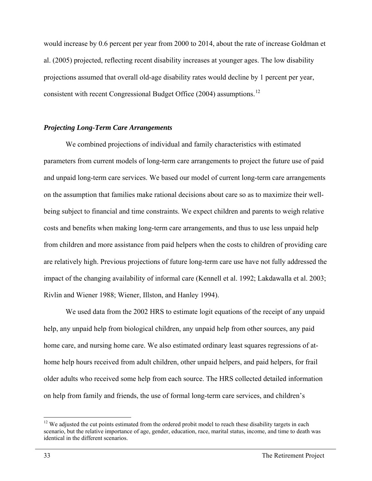would increase by 0.6 percent per year from 2000 to 2014, about the rate of increase Goldman et al. (2005) projected, reflecting recent disability increases at younger ages. The low disability projections assumed that overall old-age disability rates would decline by 1 percent per year, consistent with recent Congressional Budget Office (2004) assumptions.<sup>[12](#page-42-0)</sup>

#### *Projecting Long-Term Care Arrangements*

We combined projections of individual and family characteristics with estimated parameters from current models of long-term care arrangements to project the future use of paid and unpaid long-term care services. We based our model of current long-term care arrangements on the assumption that families make rational decisions about care so as to maximize their wellbeing subject to financial and time constraints. We expect children and parents to weigh relative costs and benefits when making long-term care arrangements, and thus to use less unpaid help from children and more assistance from paid helpers when the costs to children of providing care are relatively high. Previous projections of future long-term care use have not fully addressed the impact of the changing availability of informal care (Kennell et al. 1992; Lakdawalla et al. 2003; Rivlin and Wiener 1988; Wiener, Illston, and Hanley 1994).

We used data from the 2002 HRS to estimate logit equations of the receipt of any unpaid help, any unpaid help from biological children, any unpaid help from other sources, any paid home care, and nursing home care. We also estimated ordinary least squares regressions of athome help hours received from adult children, other unpaid helpers, and paid helpers, for frail older adults who received some help from each source. The HRS collected detailed information on help from family and friends, the use of formal long-term care services, and children's

<span id="page-42-0"></span> $12$  We adjusted the cut points estimated from the ordered probit model to reach these disability targets in each scenario, but the relative importance of age, gender, education, race, marital status, income, and time to death was identical in the different scenarios.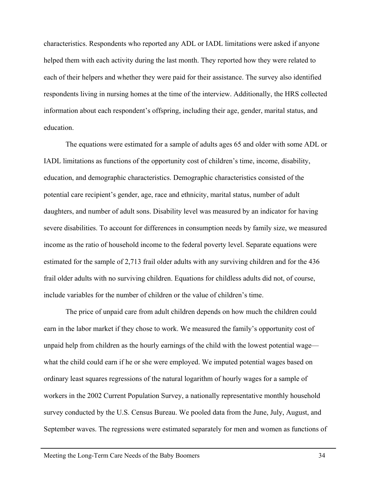characteristics. Respondents who reported any ADL or IADL limitations were asked if anyone helped them with each activity during the last month. They reported how they were related to each of their helpers and whether they were paid for their assistance. The survey also identified respondents living in nursing homes at the time of the interview. Additionally, the HRS collected information about each respondent's offspring, including their age, gender, marital status, and education.

The equations were estimated for a sample of adults ages 65 and older with some ADL or IADL limitations as functions of the opportunity cost of children's time, income, disability, education, and demographic characteristics. Demographic characteristics consisted of the potential care recipient's gender, age, race and ethnicity, marital status, number of adult daughters, and number of adult sons. Disability level was measured by an indicator for having severe disabilities. To account for differences in consumption needs by family size, we measured income as the ratio of household income to the federal poverty level. Separate equations were estimated for the sample of 2,713 frail older adults with any surviving children and for the 436 frail older adults with no surviving children. Equations for childless adults did not, of course, include variables for the number of children or the value of children's time.

The price of unpaid care from adult children depends on how much the children could earn in the labor market if they chose to work. We measured the family's opportunity cost of unpaid help from children as the hourly earnings of the child with the lowest potential wage what the child could earn if he or she were employed. We imputed potential wages based on ordinary least squares regressions of the natural logarithm of hourly wages for a sample of workers in the 2002 Current Population Survey, a nationally representative monthly household survey conducted by the U.S. Census Bureau. We pooled data from the June, July, August, and September waves. The regressions were estimated separately for men and women as functions of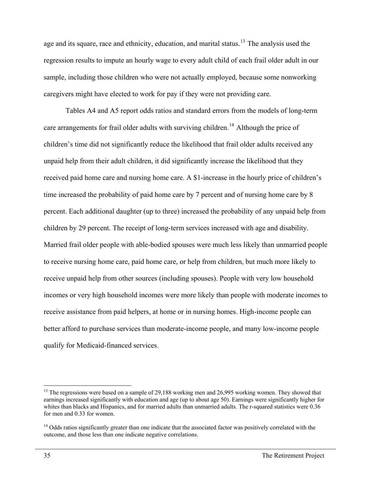age and its square, race and ethnicity, education, and marital status. <sup>[13](#page-44-0)</sup> The analysis used the regression results to impute an hourly wage to every adult child of each frail older adult in our sample, including those children who were not actually employed, because some nonworking caregivers might have elected to work for pay if they were not providing care.

Tables A4 and A5 report odds ratios and standard errors from the models of long-term care arrangements for frail older adults with surviving children.<sup>[14](#page-44-1)</sup> Although the price of children's time did not significantly reduce the likelihood that frail older adults received any unpaid help from their adult children, it did significantly increase the likelihood that they received paid home care and nursing home care. A \$1-increase in the hourly price of children's time increased the probability of paid home care by 7 percent and of nursing home care by 8 percent. Each additional daughter (up to three) increased the probability of any unpaid help from children by 29 percent. The receipt of long-term services increased with age and disability. Married frail older people with able-bodied spouses were much less likely than unmarried people to receive nursing home care, paid home care, or help from children, but much more likely to receive unpaid help from other sources (including spouses). People with very low household incomes or very high household incomes were more likely than people with moderate incomes to receive assistance from paid helpers, at home or in nursing homes. High-income people can better afford to purchase services than moderate-income people, and many low-income people qualify for Medicaid-financed services.

<span id="page-44-0"></span><sup>&</sup>lt;sup>13</sup> The regressions were based on a sample of 29,188 working men and 26,995 working women. They showed that earnings increased significantly with education and age (up to about age 50). Earnings were significantly higher for whites than blacks and Hispanics, and for married adults than unmarried adults. The r-squared statistics were 0.36 for men and 0.33 for women.

<span id="page-44-1"></span><sup>&</sup>lt;sup>14</sup> Odds ratios significantly greater than one indicate that the associated factor was positively correlated with the outcome, and those less than one indicate negative correlations.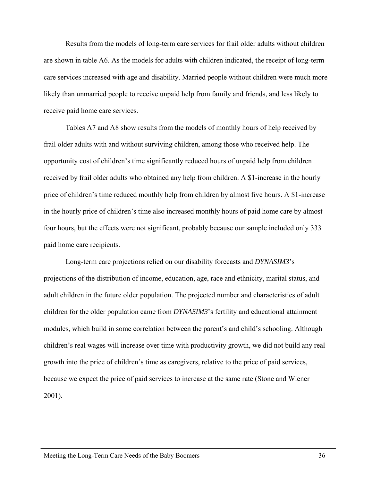Results from the models of long-term care services for frail older adults without children are shown in table A6. As the models for adults with children indicated, the receipt of long-term care services increased with age and disability. Married people without children were much more likely than unmarried people to receive unpaid help from family and friends, and less likely to receive paid home care services.

Tables A7 and A8 show results from the models of monthly hours of help received by frail older adults with and without surviving children, among those who received help. The opportunity cost of children's time significantly reduced hours of unpaid help from children received by frail older adults who obtained any help from children. A \$1-increase in the hourly price of children's time reduced monthly help from children by almost five hours. A \$1-increase in the hourly price of children's time also increased monthly hours of paid home care by almost four hours, but the effects were not significant, probably because our sample included only 333 paid home care recipients.

Long-term care projections relied on our disability forecasts and *DYNASIM3*'s projections of the distribution of income, education, age, race and ethnicity, marital status, and adult children in the future older population. The projected number and characteristics of adult children for the older population came from *DYNASIM3*'s fertility and educational attainment modules, which build in some correlation between the parent's and child's schooling. Although children's real wages will increase over time with productivity growth, we did not build any real growth into the price of children's time as caregivers, relative to the price of paid services, because we expect the price of paid services to increase at the same rate (Stone and Wiener 2001).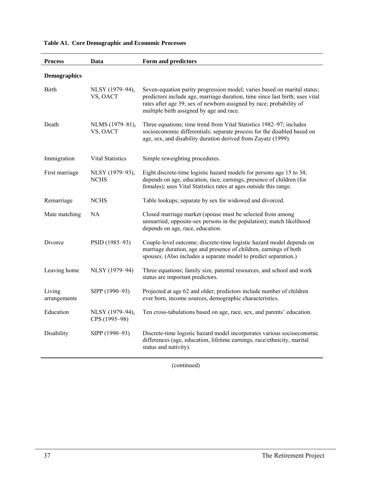| <b>Process</b>         | Data                             | Form and predictors                                                                                                                                                                                                                                                         |
|------------------------|----------------------------------|-----------------------------------------------------------------------------------------------------------------------------------------------------------------------------------------------------------------------------------------------------------------------------|
| <b>Demographics</b>    |                                  |                                                                                                                                                                                                                                                                             |
| <b>Birth</b>           | NLSY (1979-94),<br>VS, OACT      | Seven-equation parity progression model; varies based on marital status;<br>predictors include age, marriage duration, time since last birth; uses vital<br>rates after age 39; sex of newborn assigned by race; probability of<br>multiple birth assigned by age and race. |
| Death                  | NLMS (1979-81),<br>VS, OACT      | Three equations; time trend from Vital Statistics 1982-97; includes<br>socioeconomic differentials; separate process for the disabled based on<br>age, sex, and disability duration derived from Zayatz (1999).                                                             |
| Immigration            | Vital Statistics                 | Simple reweighting procedures.                                                                                                                                                                                                                                              |
| First marriage         | NLSY (1979-93),<br><b>NCHS</b>   | Eight discrete-time logistic hazard models for persons age 15 to 34;<br>depends on age, education, race, earnings, presence of children (for<br>females); uses Vital Statistics rates at ages outside this range.                                                           |
| Remarriage             | <b>NCHS</b>                      | Table lookups; separate by sex for widowed and divorced.                                                                                                                                                                                                                    |
| Mate matching          | NA                               | Closed marriage market (spouse must be selected from among<br>unmarried, opposite-sex persons in the population); match likelihood<br>depends on age, race, education.                                                                                                      |
| Divorce                | PSID (1985-93)                   | Couple-level outcome; discrete-time logistic hazard model depends on<br>marriage duration, age and presence of children, earnings of both<br>spouses. (Also includes a separate model to predict separation.)                                                               |
| Leaving home           | NLSY (1979-94)                   | Three equations; family size, parental resources, and school and work<br>status are important predictors.                                                                                                                                                                   |
| Living<br>arrangements | SIPP (1990-93)                   | Projected at age 62 and older; predictors include number of children<br>ever born, income sources, demographic characteristics.                                                                                                                                             |
| Education              | NLSY (1979-94),<br>CPS (1995-98) | Ten cross-tabulations based on age, race, sex, and parents' education.                                                                                                                                                                                                      |
| Disability             | SIPP (1990-93)                   | Discrete-time logistic hazard model incorporates various socioeconomic<br>differences (age, education, lifetime earnings, race/ethnicity, marital<br>status and nativity).                                                                                                  |

**Table A1. Core Demographic and Economic Processes** 

(continued)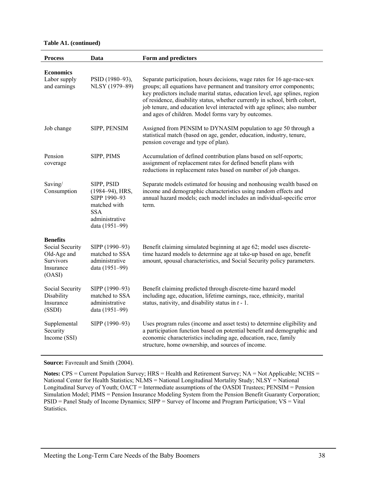#### **Table A1. (continued)**

| <b>Process</b>                                                                        | Data                                                                                                                 | Form and predictors                                                                                                                                                                                                                                                                                                                                                                                                                               |
|---------------------------------------------------------------------------------------|----------------------------------------------------------------------------------------------------------------------|---------------------------------------------------------------------------------------------------------------------------------------------------------------------------------------------------------------------------------------------------------------------------------------------------------------------------------------------------------------------------------------------------------------------------------------------------|
| <b>Economics</b><br>Labor supply<br>and earnings                                      | PSID (1980-93),<br>NLSY (1979-89)                                                                                    | Separate participation, hours decisions, wage rates for 16 age-race-sex<br>groups; all equations have permanent and transitory error components;<br>key predictors include marital status, education level, age splines, region<br>of residence, disability status, whether currently in school, birth cohort,<br>job tenure, and education level interacted with age splines; also number<br>and ages of children. Model forms vary by outcomes. |
| Job change                                                                            | SIPP, PENSIM                                                                                                         | Assigned from PENSIM to DYNASIM population to age 50 through a<br>statistical match (based on age, gender, education, industry, tenure,<br>pension coverage and type of plan).                                                                                                                                                                                                                                                                    |
| Pension<br>coverage                                                                   | SIPP, PIMS                                                                                                           | Accumulation of defined contribution plans based on self-reports;<br>assignment of replacement rates for defined benefit plans with<br>reductions in replacement rates based on number of job changes.                                                                                                                                                                                                                                            |
| Saving/<br>Consumption                                                                | SIPP, PSID<br>$(1984 - 94)$ , HRS,<br>SIPP 1990-93<br>matched with<br><b>SSA</b><br>administrative<br>data (1951-99) | Separate models estimated for housing and nonhousing wealth based on<br>income and demographic characteristics using random effects and<br>annual hazard models; each model includes an individual-specific error<br>term.                                                                                                                                                                                                                        |
| <b>Benefits</b><br>Social Security<br>Old-Age and<br>Survivors<br>Insurance<br>(OASI) | SIPP (1990-93)<br>matched to SSA<br>administrative<br>data (1951-99)                                                 | Benefit claiming simulated beginning at age 62; model uses discrete-<br>time hazard models to determine age at take-up based on age, benefit<br>amount, spousal characteristics, and Social Security policy parameters.                                                                                                                                                                                                                           |
| Social Security<br>Disability<br>Insurance<br>(SSDI)                                  | SIPP (1990-93)<br>matched to SSA<br>administrative<br>data (1951-99)                                                 | Benefit claiming predicted through discrete-time hazard model<br>including age, education, lifetime earnings, race, ethnicity, marital<br>status, nativity, and disability status in $t - 1$ .                                                                                                                                                                                                                                                    |
| Supplemental<br>Security<br>Income (SSI)                                              | SIPP (1990-93)                                                                                                       | Uses program rules (income and asset tests) to determine eligibility and<br>a participation function based on potential benefit and demographic and<br>economic characteristics including age, education, race, family<br>structure, home ownership, and sources of income.                                                                                                                                                                       |

**Source:** Favreault and Smith (2004).

**Notes:** CPS = Current Population Survey; HRS = Health and Retirement Survey; NA = Not Applicable; NCHS = National Center for Health Statistics; NLMS = National Longitudinal Mortality Study; NLSY = National Longitudinal Survey of Youth; OACT = Intermediate assumptions of the OASDI Trustees; PENSIM = Pension Simulation Model; PIMS = Pension Insurance Modeling System from the Pension Benefit Guaranty Corporation; PSID = Panel Study of Income Dynamics; SIPP = Survey of Income and Program Participation; VS = Vital Statistics.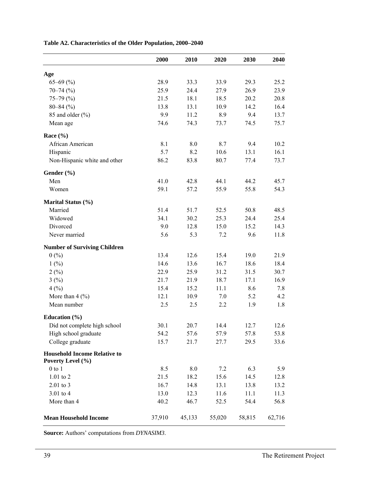|                                                          | 2000   | 2010   | 2020   | 2030   | 2040   |
|----------------------------------------------------------|--------|--------|--------|--------|--------|
| Age                                                      |        |        |        |        |        |
| $65 - 69$ (%)                                            | 28.9   | 33.3   | 33.9   | 29.3   | 25.2   |
| $70 - 74$ (%)                                            | 25.9   | 24.4   | 27.9   | 26.9   | 23.9   |
| $75 - 79(%)$                                             | 21.5   | 18.1   | 18.5   | 20.2   | 20.8   |
| $80 - 84$ (%)                                            | 13.8   | 13.1   | 10.9   | 14.2   | 16.4   |
| 85 and older (%)                                         | 9.9    | 11.2   | 8.9    | 9.4    | 13.7   |
| Mean age                                                 | 74.6   | 74.3   | 73.7   | 74.5   | 75.7   |
| Race $(\% )$                                             |        |        |        |        |        |
| African American                                         | 8.1    | 8.0    | 8.7    | 9.4    | 10.2   |
| Hispanic                                                 | 5.7    | 8.2    | 10.6   | 13.1   | 16.1   |
| Non-Hispanic white and other                             | 86.2   | 83.8   | 80.7   | 77.4   | 73.7   |
| Gender (%)                                               |        |        |        |        |        |
| Men                                                      | 41.0   | 42.8   | 44.1   | 44.2   | 45.7   |
| Women                                                    | 59.1   | 57.2   | 55.9   | 55.8   | 54.3   |
| Marital Status (%)                                       |        |        |        |        |        |
| Married                                                  | 51.4   | 51.7   | 52.5   | 50.8   | 48.5   |
| Widowed                                                  | 34.1   | 30.2   | 25.3   | 24.4   | 25.4   |
| Divorced                                                 | 9.0    | 12.8   | 15.0   | 15.2   | 14.3   |
| Never married                                            | 5.6    | 5.3    | 7.2    | 9.6    | 11.8   |
| <b>Number of Surviving Children</b>                      |        |        |        |        |        |
| 0(%)                                                     | 13.4   | 12.6   | 15.4   | 19.0   | 21.9   |
| 1(%)                                                     | 14.6   | 13.6   | 16.7   | 18.6   | 18.4   |
| 2(%)                                                     | 22.9   | 25.9   | 31.2   | 31.5   | 30.7   |
| 3(%)                                                     | 21.7   | 21.9   | 18.7   | 17.1   | 16.9   |
| 4(%)                                                     | 15.4   | 15.2   | 11.1   | 8.6    | 7.8    |
| More than $4 \frac{(\%)}{}$                              | 12.1   | 10.9   | 7.0    | 5.2    | 4.2    |
| Mean number                                              | 2.5    | 2.5    | 2.2    | 1.9    | 1.8    |
| Education $(\% )$                                        |        |        |        |        |        |
| Did not complete high school                             | 30.1   | 20.7   | 14.4   | 12.7   | 12.6   |
| High school graduate                                     | 54.2   | 57.6   | 57.9   | 57.8   | 53.8   |
| College graduate                                         | 15.7   | 21.7   | 27.7   | 29.5   | 33.6   |
| <b>Household Income Relative to</b><br>Poverty Level (%) |        |        |        |        |        |
| $0$ to $1$                                               | 8.5    | 8.0    | 7.2    | 6.3    | 5.9    |
| 1.01 to 2                                                | 21.5   | 18.2   | 15.6   | 14.5   | 12.8   |
| 2.01 to 3                                                | 16.7   | 14.8   | 13.1   | 13.8   | 13.2   |
| 3.01 to 4                                                | 13.0   | 12.3   | 11.6   | 11.1   | 11.3   |
| More than 4                                              | 40.2   | 46.7   | 52.5   | 54.4   | 56.8   |
| <b>Mean Household Income</b>                             | 37,910 | 45,133 | 55,020 | 58,815 | 62,716 |

# **Table A2. Characteristics of the Older Population, 2000–2040**

**Source:** Authors' computations from *DYNASIM3*.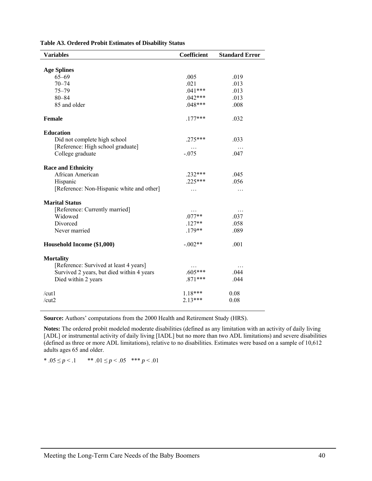| <b>Variables</b>                          | <b>Coefficient</b> | <b>Standard Error</b> |
|-------------------------------------------|--------------------|-----------------------|
|                                           |                    |                       |
| <b>Age Splines</b>                        |                    |                       |
| $65 - 69$                                 | .005               | .019                  |
| $70 - 74$                                 | .021               | .013                  |
| $75 - 79$                                 | $.041***$          | .013                  |
| $80 - 84$                                 | $.042***$          | .013                  |
| 85 and older                              | $.048***$          | .008                  |
| <b>Female</b>                             | $.177***$          | .032                  |
| <b>Education</b>                          |                    |                       |
| Did not complete high school              | $.275***$          | .033                  |
| [Reference: High school graduate]         | .                  | .                     |
| College graduate                          | $-075$             | .047                  |
| <b>Race and Ethnicity</b>                 |                    |                       |
| African American                          | $.232***$          | .045                  |
| Hispanic                                  | $225***$           | .056                  |
| [Reference: Non-Hispanic white and other] | .                  | .                     |
| <b>Marital Status</b>                     |                    |                       |
| [Reference: Currently married]            |                    | .                     |
| Widowed                                   | $.077**$           | .037                  |
| Divorced                                  | $.127**$           | .058                  |
| Never married                             | $.179**$           | .089                  |
| Household Income (\$1,000)                | $-.002**$          | .001                  |
| <b>Mortality</b>                          |                    |                       |
| [Reference: Survived at least 4 years]    |                    | .                     |
| Survived 2 years, but died within 4 years | $.605***$          | .044                  |
| Died within 2 years                       | $.871***$          | .044                  |
| /cut1                                     | $1.18***$          | 0.08                  |
| /cut2                                     | $2.13***$          | 0.08                  |

**Source:** Authors' computations from the 2000 Health and Retirement Study (HRS).

**Notes:** The ordered probit modeled moderate disabilities (defined as any limitation with an activity of daily living [ADL] or instrumental activity of daily living [IADL] but no more than two ADL limitations) and severe disabilities (defined as three or more ADL limitations), relative to no disabilities. Estimates were based on a sample of 10,612 adults ages 65 and older.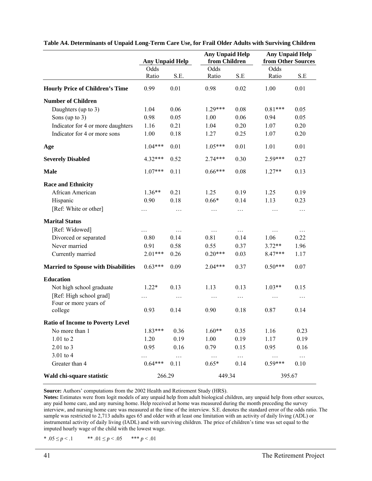|                                                  | <b>Any Unpaid Help</b> |          | <b>Any Unpaid Help</b><br>from Children |          | <b>Any Unpaid Help</b><br>from Other Sources |          |
|--------------------------------------------------|------------------------|----------|-----------------------------------------|----------|----------------------------------------------|----------|
|                                                  | Odds                   |          | Odds                                    |          | Odds                                         |          |
|                                                  | Ratio                  | S.E.     | Ratio                                   | S.E      | Ratio                                        | S.E      |
| <b>Hourly Price of Children's Time</b>           | 0.99                   | 0.01     | 0.98                                    | 0.02     | 1.00                                         | 0.01     |
| <b>Number of Children</b>                        |                        |          |                                         |          |                                              |          |
| Daughters (up to 3)                              | 1.04                   | 0.06     | $1.29***$                               | 0.08     | $0.81***$                                    | 0.05     |
| Sons (up to $3$ )                                | 0.98                   | 0.05     | 1.00                                    | 0.06     | 0.94                                         | 0.05     |
| Indicator for 4 or more daughters                | 1.16                   | 0.21     | 1.04                                    | 0.20     | 1.07                                         | 0.20     |
| Indicator for 4 or more sons                     | 1.00                   | 0.18     | 1.27                                    | 0.25     | 1.07                                         | 0.20     |
| Age                                              | $1.04***$              | 0.01     | $1.05***$                               | 0.01     | 1.01                                         | 0.01     |
| <b>Severely Disabled</b>                         | 4.32***                | 0.52     | $2.74***$                               | 0.30     | 2.59***                                      | 0.27     |
| <b>Male</b>                                      | $1.07***$              | 0.11     | $0.66***$                               | 0.08     | $1.27**$                                     | 0.13     |
| <b>Race and Ethnicity</b>                        |                        |          |                                         |          |                                              |          |
| African American                                 | $1.36**$               | 0.21     | 1.25                                    | 0.19     | 1.25                                         | 0.19     |
| Hispanic                                         | 0.90                   | 0.18     | $0.66*$                                 | 0.14     | 1.13                                         | 0.23     |
| [Ref: White or other]                            | .                      | .        | $\cdots$                                | $\cdots$ | .                                            | $\ldots$ |
| <b>Marital Status</b>                            |                        |          |                                         |          |                                              |          |
| [Ref: Widowed]                                   | .                      | $\cdots$ | $\ldots$                                | .        | $\cdots$                                     | .        |
| Divorced or separated                            | 0.80                   | 0.14     | 0.81                                    | 0.14     | 1.06                                         | 0.22     |
| Never married                                    | 0.91                   | 0.58     | 0.55                                    | 0.37     | $3.72**$                                     | 1.96     |
| Currently married                                | $2.01***$              | 0.26     | $0.20***$                               | 0.03     | $8.47***$                                    | 1.17     |
| <b>Married to Spouse with Disabilities</b>       | $0.63***$              | 0.09     | $2.04***$                               | 0.37     | $0.50***$                                    | 0.07     |
| <b>Education</b>                                 |                        |          |                                         |          |                                              |          |
| Not high school graduate                         | $1.22*$                | 0.13     | 1.13                                    | 0.13     | $1.03**$                                     | 0.15     |
| [Ref: High school grad]<br>Four or more years of | .                      | .        | $\cdots$                                | .        | $\cdots$                                     | $\cdots$ |
| college                                          | 0.93                   | 0.14     | 0.90                                    | 0.18     | 0.87                                         | 0.14     |
| <b>Ratio of Income to Poverty Level</b>          |                        |          |                                         |          |                                              |          |
| No more than 1                                   | 1.83***                | 0.36     | $1.60**$                                | 0.35     | 1.16                                         | 0.23     |
| 1.01 to 2                                        | 1.20                   | 0.19     | 1.00                                    | 0.19     | 1.17                                         | 0.19     |
| 2.01 to 3                                        | 0.95                   | 0.16     | 0.79                                    | 0.15     | 0.95                                         | 0.16     |
| 3.01 to 4                                        |                        | $\ldots$ | $\ldots$                                | $\dots$  | .                                            | $\ldots$ |
| Greater than 4                                   | $0.64***$              | 0.11     | $0.65*$                                 | 0.14     | $0.59***$                                    | 0.10     |
| Wald chi-square statistic                        | 266.29                 |          | 449.34                                  |          |                                              | 395.67   |

**Table A4. Determinants of Unpaid Long-Term Care Use, for Frail Older Adults with Surviving Children** 

**Source:** Authors' computations from the 2002 Health and Retirement Study (HRS).

**Notes:** Estimates were from logit models of any unpaid help from adult biological children, any unpaid help from other sources, any paid home care, and any nursing home. Help received at home was measured during the month preceding the survey interview, and nursing home care was measured at the time of the interview. S.E. denotes the standard error of the odds ratio. The sample was restricted to 2,713 adults ages 65 and older with at least one limitation with an activity of daily living (ADL) or instrumental activity of daily living (IADL) and with surviving children. The price of children's time was set equal to the imputed hourly wage of the child with the lowest wage.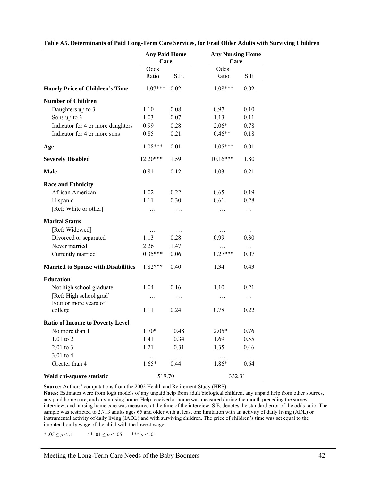|                                                  | <b>Any Paid Home</b><br>Care |          | <b>Any Nursing Home</b><br>Care |          |  |
|--------------------------------------------------|------------------------------|----------|---------------------------------|----------|--|
|                                                  | Odds                         |          | Odds                            |          |  |
|                                                  | Ratio                        | S.E.     | Ratio                           | S.E      |  |
| <b>Hourly Price of Children's Time</b>           | $1.07***$                    | 0.02     | $1.08***$                       | 0.02     |  |
| <b>Number of Children</b>                        |                              |          |                                 |          |  |
| Daughters up to 3                                | 1.10                         | 0.08     | 0.97                            | 0.10     |  |
| Sons up to 3                                     | 1.03                         | 0.07     | 1.13                            | 0.11     |  |
| Indicator for 4 or more daughters                | 0.99                         | 0.28     | $2.06*$                         | 0.78     |  |
| Indicator for 4 or more sons                     | 0.85                         | 0.21     | $0.46**$                        | 0.18     |  |
| Age                                              | 1.08***                      | 0.01     | $1.05***$                       | 0.01     |  |
| <b>Severely Disabled</b>                         | 12.20***                     | 1.59     | $10.16***$                      | 1.80     |  |
| <b>Male</b>                                      | 0.81                         | 0.12     | 1.03                            | 0.21     |  |
| <b>Race and Ethnicity</b>                        |                              |          |                                 |          |  |
| African American                                 | 1.02                         | 0.22     | 0.65                            | 0.19     |  |
| Hispanic                                         | 1.11                         | 0.30     | 0.61                            | 0.28     |  |
| [Ref: White or other]                            | .                            | .        | .                               | $\ldots$ |  |
| <b>Marital Status</b>                            |                              |          |                                 |          |  |
| [Ref: Widowed]                                   | $\ldots$                     | .        |                                 | $\cdots$ |  |
| Divorced or separated                            | 1.13                         | 0.28     | 0.99                            | 0.30     |  |
| Never married                                    | 2.26                         | 1.47     | .                               | $\cdots$ |  |
| Currently married                                | $0.35***$                    | 0.06     | $0.27***$                       | 0.07     |  |
| <b>Married to Spouse with Disabilities</b>       | $1.82***$                    | 0.40     | 1.34                            | 0.43     |  |
| <b>Education</b>                                 |                              |          |                                 |          |  |
| Not high school graduate                         | 1.04                         | 0.16     | 1.10                            | 0.21     |  |
| [Ref: High school grad]<br>Four or more years of | $\cdots$                     | $\cdots$ | .                               | $\cdots$ |  |
| college                                          | 1.11                         | 0.24     | 0.78                            | 0.22     |  |
| <b>Ratio of Income to Poverty Level</b>          |                              |          |                                 |          |  |
| No more than 1                                   | $1.70*$                      | 0.48     | $2.05*$                         | 0.76     |  |
| 1.01 to 2                                        | 1.41                         | 0.34     | 1.69                            | 0.55     |  |
| 2.01 to 3                                        | 1.21                         | 0.31     | 1.35                            | 0.46     |  |
| 3.01 to 4                                        | $\cdots$                     | $\cdots$ | $\ldots$                        | $\ldots$ |  |
| Greater than 4                                   | $1.65*$                      | 0.44     | 1.86*                           | 0.64     |  |
| Wald chi-square statistic                        | 519.70                       |          | 332.31                          |          |  |

**Table A5. Determinants of Paid Long-Term Care Services, for Frail Older Adults with Surviving Children** 

**Source:** Authors' computations from the 2002 Health and Retirement Study (HRS).

**Notes:** Estimates were from logit models of any unpaid help from adult biological children, any unpaid help from other sources, any paid home care, and any nursing home. Help received at home was measured during the month preceding the survey interview, and nursing home care was measured at the time of the interview. S.E. denotes the standard error of the odds ratio. The sample was restricted to 2,713 adults ages 65 and older with at least one limitation with an activity of daily living (ADL) or instrumental activity of daily living (IADL) and with surviving children. The price of children's time was set equal to the imputed hourly wage of the child with the lowest wage.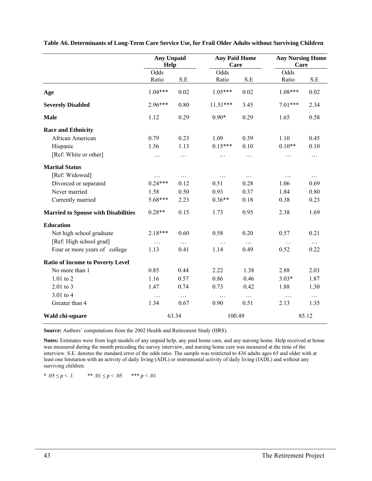|                                            | <b>Any Unpaid</b><br>Help |          | <b>Any Paid Home</b><br>Care |          | <b>Any Nursing Home</b><br>Care |          |
|--------------------------------------------|---------------------------|----------|------------------------------|----------|---------------------------------|----------|
|                                            | Odds                      |          | Odds                         |          | Odds                            |          |
|                                            | Ratio                     | S.E      | Ratio                        | S.E      | Ratio                           | $S.E$    |
| Age                                        | $1.04***$                 | 0.02     | $1.05***$                    | 0.02     | $1.08***$                       | 0.02     |
| <b>Severely Disabled</b>                   | $2.96***$                 | 0.80     | $11.51***$                   | 3.45     | $7.01***$                       | 2.34     |
| <b>Male</b>                                | 1.12                      | 0.29     | $0.90*$                      | 0.29     | 1.65                            | 0.58     |
| <b>Race and Ethnicity</b>                  |                           |          |                              |          |                                 |          |
| African American                           | 0.79                      | 0.23     | 1.09                         | 0.39     | 1.10                            | 0.45     |
| Hispanic                                   | 1.56                      | 1.13     | $0.15***$                    | 0.10     | $0.10**$                        | 0.10     |
| [Ref: White or other]                      | $\ldots$                  | $\cdots$ | .                            | $\cdots$ | .                               | $\cdots$ |
| <b>Marital Status</b>                      |                           |          |                              |          |                                 |          |
| [Ref: Widowed]                             | $\ldots$                  | $\cdots$ | $\cdots$                     | $\cdots$ | .                               | $\cdots$ |
| Divorced or separated                      | $0.24***$                 | 0.12     | 0.51                         | 0.28     | 1.06                            | 0.69     |
| Never married                              | 1.58                      | 0.50     | 0.93                         | 0.37     | 1.84                            | 0.80     |
| Currently married                          | 5.68***                   | 2.23     | $0.36**$                     | 0.18     | 0.38                            | 0.23     |
| <b>Married to Spouse with Disabilities</b> | $0.28**$                  | 0.15     | 1.73                         | 0.95     | 2.38                            | 1.69     |
| <b>Education</b>                           |                           |          |                              |          |                                 |          |
| Not high school graduate                   | 2.18***                   | 0.60     | 0.58                         | 0.20     | 0.57                            | 0.21     |
| [Ref: High school grad]                    | $\ldots$                  | $\ldots$ | $\ldots$                     | $\cdots$ | .                               | $\ldots$ |
| Four or more years of college              | 1.13                      | 0.41     | 1.14                         | 0.49     | 0.52                            | 0.22     |
| <b>Ratio of Income to Poverty Level</b>    |                           |          |                              |          |                                 |          |
| No more than 1                             | 0.85                      | 0.44     | 2.22                         | 1.38     | 2.88                            | 2.03     |
| 1.01 to 2                                  | 1.16                      | 0.57     | 0.86                         | 0.46     | $3.03*$                         | 1.87     |
| $2.01$ to 3                                | 1.47                      | 0.74     | 0.73                         | 0.42     | 1.88                            | 1.30     |
| 3.01 to 4                                  | $\ldots$                  | $\cdots$ | $\cdots$                     | $\cdots$ | $\ldots$                        | $\cdots$ |
| Greater than 4                             | 1.34                      | 0.67     | 0.90                         | 0.51     | 2.13                            | 1.35     |
| Wald chi-square                            |                           | 63.34    | 100.49                       |          |                                 | 85.12    |

**Table A6. Determinants of Long-Term Care Service Use, for Frail Older Adults without Surviving Children** 

**Source:** Authors' computations from the 2002 Health and Retirement Study (HRS).

**Notes:** Estimates were from logit models of any unpaid help, any paid home care, and any nursing home. Help received at home was measured during the month preceding the survey interview, and nursing home care was measured at the time of the interview. S.E. denotes the standard error of the odds ratio. The sample was restricted to 436 adults ages 65 and older with at least one limitation with an activity of daily living (ADL) or instrumental activity of daily living (IADL) and without any surviving children.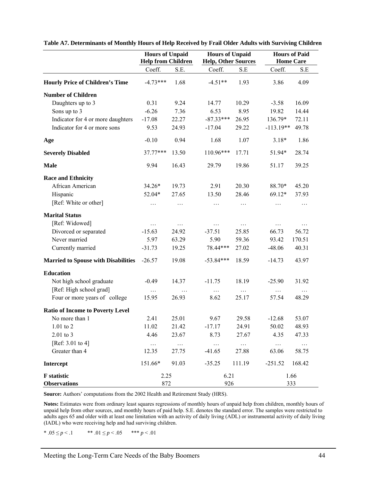|                                            | <b>Hours of Unpaid</b><br><b>Help from Children</b> |          | <b>Hours of Unpaid</b><br><b>Help, Other Sources</b> |           | <b>Hours of Paid</b><br><b>Home Care</b> |          |
|--------------------------------------------|-----------------------------------------------------|----------|------------------------------------------------------|-----------|------------------------------------------|----------|
|                                            | Coeff.                                              | S.E.     | Coeff.                                               | S.E       | Coeff.                                   | S.E      |
| <b>Hourly Price of Children's Time</b>     | $-4.73***$                                          | 1.68     | $-4.51**$                                            | 1.93      | 3.86                                     | 4.09     |
| <b>Number of Children</b>                  |                                                     |          |                                                      |           |                                          |          |
| Daughters up to 3                          | 0.31                                                | 9.24     | 14.77                                                | 10.29     | $-3.58$                                  | 16.09    |
| Sons up to 3                               | $-6.26$                                             | 7.36     | 6.53                                                 | 8.95      | 19.82                                    | 14.44    |
| Indicator for 4 or more daughters          | $-17.08$                                            | 22.27    | $-87.33***$                                          | 26.95     | 136.79*                                  | 72.11    |
| Indicator for 4 or more sons               | 9.53                                                | 24.93    | $-17.04$                                             | 29.22     | $-113.19**$                              | 49.78    |
| Age                                        | $-0.10$                                             | 0.94     | 1.68                                                 | 1.07      | $3.18*$                                  | 1.86     |
| <b>Severely Disabled</b>                   | 37.77***                                            | 13.50    | 110.96***                                            | 17.71     | 51.94*                                   | 28.74    |
| <b>Male</b>                                | 9.94                                                | 16.43    | 29.79                                                | 19.86     | 51.17                                    | 39.25    |
| <b>Race and Ethnicity</b>                  |                                                     |          |                                                      |           |                                          |          |
| African American                           | 34.26*                                              | 19.73    | 2.91                                                 | 20.30     | 88.70*                                   | 45.20    |
| Hispanic                                   | 52.04*                                              | 27.65    | 13.50                                                | 28.46     | 69.12*                                   | 37.93    |
| [Ref: White or other]                      | $\cdots$                                            | $\cdots$ | $\cdots$                                             | $\cdots$  | $\cdots$                                 | $\cdots$ |
| <b>Marital Status</b>                      |                                                     |          |                                                      |           |                                          |          |
| [Ref: Widowed]                             | $\cdots$                                            | $\cdots$ | $\cdots$                                             | $\cdots$  | $\cdots$                                 | $\cdots$ |
| Divorced or separated                      | $-15.63$                                            | 24.92    | $-37.51$                                             | 25.85     | 66.73                                    | 56.72    |
| Never married                              | 5.97                                                | 63.29    | 5.90                                                 | 59.36     | 93.42                                    | 170.51   |
| Currently married                          | $-31.73$                                            | 19.25    | 78.44***                                             | 27.02     | $-48.06$                                 | 40.31    |
| <b>Married to Spouse with Disabilities</b> | $-26.57$                                            | 19.08    | $-53.84***$                                          | 18.59     | $-14.73$                                 | 43.97    |
| <b>Education</b>                           |                                                     |          |                                                      |           |                                          |          |
| Not high school graduate                   | $-0.49$                                             | 14.37    | $-11.75$                                             | 18.19     | $-25.90$                                 | 31.92    |
| [Ref: High school grad]                    | $\ldots$                                            | $\cdots$ | $\ldots$                                             | $\cdots$  | $\ldots$                                 | $\ldots$ |
| Four or more years of college              | 15.95                                               | 26.93    | 8.62                                                 | 25.17     | 57.54                                    | 48.29    |
| <b>Ratio of Income to Poverty Level</b>    |                                                     |          |                                                      |           |                                          |          |
| No more than 1                             | 2.41                                                | 25.01    | 9.67                                                 | 29.58     | $-12.68$                                 | 53.07    |
| $1.01$ to $2$                              | 11.02                                               | 21.42    | $-17.17$                                             | 24.91     | 50.02                                    | 48.93    |
| 2.01 to 3                                  | 4.46                                                | 23.67    | 8.73                                                 | 27.67     | 4.35                                     | 47.33    |
| [Ref: 3.01 to 4]                           | $\ldots$                                            | $\dots$  | $\ldots$                                             | $\dots$ . | $\dots$ .                                | .        |
| Greater than 4                             | 12.35                                               | 27.75    | $-41.65$                                             | 27.88     | 63.06                                    | 58.75    |
| Intercept                                  | 151.66*                                             | 91.03    | $-35.25$                                             | 111.19    | $-251.52$                                | 168.42   |
| <b>F</b> statistic                         | 2.25                                                |          | 6.21                                                 |           | 1.66                                     |          |
| <b>Observations</b>                        | 872                                                 |          | 926                                                  |           | 333                                      |          |

**Table A7. Determinants of Monthly Hours of Help Received by Frail Older Adults with Surviving Children** 

**Source:** Authors' computations from the 2002 Health and Retirement Study (HRS).

**Notes:** Estimates were from ordinary least squares regressions of monthly hours of unpaid help from children, monthly hours of unpaid help from other sources, and monthly hours of paid help. S.E. denotes the standard error. The samples were restricted to adults ages 65 and older with at least one limitation with an activity of daily living (ADL) or instrumental activity of daily living (IADL) who were receiving help and had surviving children.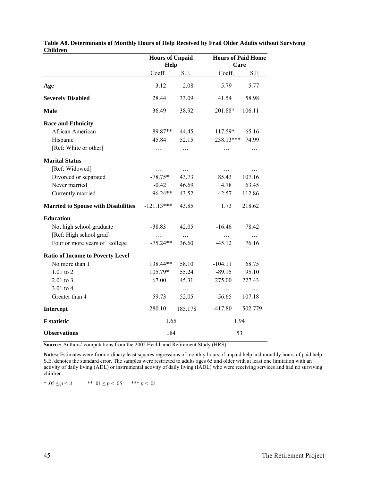|                                            | <b>Hours of Unpaid</b><br>Help |          | <b>Hours of Paid Home</b><br>Care |          |  |
|--------------------------------------------|--------------------------------|----------|-----------------------------------|----------|--|
|                                            | Coeff.                         | S.E      | Coeff.                            | S.E      |  |
| Age                                        | 3.12                           | 2.08     | 5.79                              | 5.77     |  |
| <b>Severely Disabled</b>                   | 28.44                          | 33.09    | 41.54                             | 58.98    |  |
| <b>Male</b>                                | 36.49                          | 38.92    | 201.88*                           | 106.11   |  |
| <b>Race and Ethnicity</b>                  |                                |          |                                   |          |  |
| African American                           | 89.87**                        | 44.45    | $117.59*$                         | 65.16    |  |
| Hispanic                                   | 45.84                          | 52.15    | 238.13***                         | 74.99    |  |
| [Ref: White or other]                      | .                              | $\ldots$ | .                                 | .        |  |
| <b>Marital Status</b>                      |                                |          |                                   |          |  |
| [Ref: Widowed]                             | .                              | $\ldots$ | $\ldots$                          | .        |  |
| Divorced or separated                      | $-78.75*$                      | 43.73    | 85.43                             | 107.16   |  |
| Never married                              | $-0.42$                        | 46.69    | 4.78                              | 63.45    |  |
| Currently married                          | 96.24**                        | 43.52    | 42.57                             | 112.86   |  |
| <b>Married to Spouse with Disabilities</b> | $-121.13***$                   | 43.85    | 1.73                              | 218.62   |  |
| <b>Education</b>                           |                                |          |                                   |          |  |
| Not high school graduate                   | $-38.83$                       | 42.05    | $-16.46$                          | 78.42    |  |
| [Ref: High school grad]                    | .                              | $\ldots$ | $\ldots$                          | $\ldots$ |  |
| Four or more years of college              | $-75.24**$                     | 36.60    | $-45.12$                          | 76.16    |  |
| <b>Ratio of Income to Poverty Level</b>    |                                |          |                                   |          |  |
| No more than 1                             | 138.44**                       | 58.10    | $-104.11$                         | 68.75    |  |
| $1.01$ to $2$                              | 105.79*                        | 55.24    | $-89.15$                          | 95.10    |  |
| $2.01$ to 3                                | 67.00                          | 45.31    | 275.00                            | 227.43   |  |
| 3.01 to 4                                  | $\ldots$                       | $\cdots$ | $\cdots$                          | $\ldots$ |  |
| Greater than 4                             | 59.73                          | 52.05    | 56.65                             | 107.18   |  |
| Intercept                                  | $-280.10$                      | 185.178  | $-417.80$                         | 502.779  |  |
| <b>F</b> statistic                         | 1.65                           |          | 1.94                              |          |  |
| <b>Observations</b>                        | 184                            |          | 53                                |          |  |

**Table A8. Determinants of Monthly Hours of Help Received by Frail Older Adults without Surviving Children** 

**Source:** Authors' computations from the 2002 Health and Retirement Study (HRS).

**Notes:** Estimates were from ordinary least squares regressions of monthly hours of unpaid help and monthly hours of paid help. S.E. denotes the standard error. The samples were restricted to adults ages 65 and older with at least one limitation with an activity of daily living (ADL) or instrumental activity of daily living (IADL) who were receiving services and had no surviving children.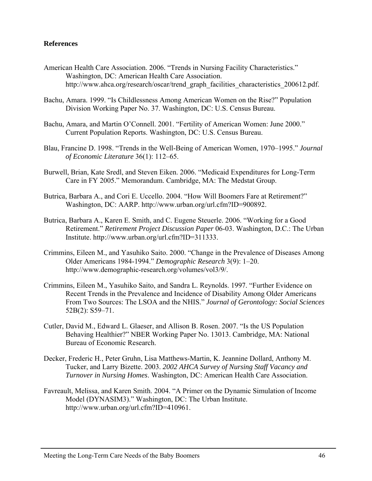### **References**

- American Health Care Association. 2006. "Trends in Nursing Facility Characteristics." Washington, DC: American Health Care Association. http://www.ahca.org/research/oscar/trend\_graph\_facilities\_characteristics\_200612.pdf.
- Bachu, Amara. 1999. "Is Childlessness Among American Women on the Rise?" Population Division Working Paper No. 37. Washington, DC: U.S. Census Bureau.
- Bachu, Amara, and Martin O'Connell. 2001. "Fertility of American Women: June 2000." Current Population Reports. Washington, DC: U.S. Census Bureau.
- Blau, Francine D. 1998. "Trends in the Well-Being of American Women, 1970–1995." *Journal of Economic Literature* 36(1): 112–65.
- Burwell, Brian, Kate Sredl, and Steven Eiken. 2006. "Medicaid Expenditures for Long-Term Care in FY 2005." Memorandum. Cambridge, MA: The Medstat Group.
- Butrica, Barbara A., and Cori E. Uccello. 2004. "How Will Boomers Fare at Retirement?" Washington, DC: AARP. http://www.urban.org/url.cfm?ID=900892.
- Butrica, Barbara A., Karen E. Smith, and C. Eugene Steuerle. 2006. "Working for a Good Retirement." *Retirement Project Discussion Paper* 06-03. Washington, D.C.: The Urban Institute. http://www.urban.org/url.cfm?ID=311333.
- Crimmins, Eileen M., and Yasuhiko Saito. 2000. "Change in the Prevalence of Diseases Among Older Americans 1984-1994." *Demographic Research* 3(9): 1–20. http://www.demographic-research.org/volumes/vol3/9/.
- Crimmins, Eileen M., Yasuhiko Saito, and Sandra L. Reynolds. 1997. "Further Evidence on Recent Trends in the Prevalence and Incidence of Disability Among Older Americans From Two Sources: The LSOA and the NHIS." *Journal of Gerontology: Social Sciences* 52B(2): S59–71.
- Cutler, David M., Edward L. Glaeser, and Allison B. Rosen. 2007. "Is the US Population Behaving Healthier?" NBER Working Paper No. 13013. Cambridge, MA: National Bureau of Economic Research.
- Decker, Frederic H., Peter Gruhn, Lisa Matthews-Martin, K. Jeannine Dollard, Anthony M. Tucker, and Larry Bizette. 2003. *2002 AHCA Survey of Nursing Staff Vacancy and Turnover in Nursing Homes*. Washington, DC: American Health Care Association.
- Favreault, Melissa, and Karen Smith. 2004. "A Primer on the Dynamic Simulation of Income Model (DYNASIM3)." Washington, DC: The Urban Institute. http://www.urban.org/url.cfm?ID=410961.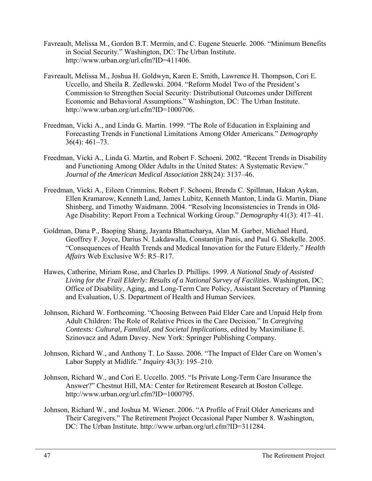- Favreault, Melissa M., Gordon B.T. Mermin, and C. Eugene Steuerle. 2006. "Minimum Benefits in Social Security." Washington, DC: The Urban Institute. http://www.urban.org/url.cfm?ID=411406.
- Favreault, Melissa M., Joshua H. Goldwyn, Karen E. Smith, Lawrence H. Thompson, Cori E. Uccello, and Sheila R. Zedlewski. 2004. "Reform Model Two of the President's Commission to Strengthen Social Security: Distributional Outcomes under Different Economic and Behavioral Assumptions." Washington, DC: The Urban Institute. http://www.urban.org/url.cfm?ID=1000706.
- Freedman, Vicki A., and Linda G. Martin. 1999. "The Role of Education in Explaining and Forecasting Trends in Functional Limitations Among Older Americans." *Demography* 36(4): 461–73.
- Freedman, Vicki A., Linda G. Martin, and Robert F. Schoeni. 2002. "Recent Trends in Disability and Functioning Among Older Adults in the United States: A Systematic Review." *Journal of the American Medical Association* 288(24): 3137–46.
- Freedman, Vicki A., Eileen Crimmins, Robert F. Schoeni, Brenda C. Spillman, Hakan Aykan, Ellen Kramarow, Kenneth Land, James Lubitz, Kenneth Manton, Linda G. Martin, Diane Shinberg, and Timothy Waidmann. 2004. "Resolving Inconsistencies in Trends in Old-Age Disability: Report From a Technical Working Group." *Demography* 41(3): 417–41.
- Goldman, Dana P., Baoping Shang, Jayanta Bhattacharya, Alan M. Garber, Michael Hurd, Geoffrey F. Joyce, Darius N. Lakdawalla, Constantijn Panis, and Paul G. Shekelle. 2005. "Consequences of Health Trends and Medical Innovation for the Future Elderly." *Health Affairs* Web Exclusive W5: R5–R17.
- Hawes, Catherine, Miriam Rose, and Charles D. Phillips. 1999. *A National Study of Assisted Living for the Frail Elderly: Results of a National Survey of Facilities.* Washington, DC: Office of Disability, Aging, and Long-Term Care Policy, Assistant Secretary of Planning and Evaluation, U.S. Department of Health and Human Services.
- Johnson, Richard W. Forthcoming. "Choosing Between Paid Elder Care and Unpaid Help from Adult Children: The Role of Relative Prices in the Care Decision." In *Caregiving Contexts: Cultural, Familial, and Societal Implications*, edited by Maximiliane E. Szinovacz and Adam Davey. New York: Springer Publishing Company.
- Johnson, Richard W., and Anthony T. Lo Sasso. 2006. "The Impact of Elder Care on Women's Labor Supply at Midlife." *Inquiry* 43(3): 195–210.
- Johnson, Richard W., and Cori E. Uccello. 2005. "Is Private Long-Term Care Insurance the Answer?" Chestnut Hill, MA: Center for Retirement Research at Boston College. http://www.urban.org/url.cfm?ID=1000795.
- Johnson, Richard W., and Joshua M. Wiener. 2006. "A Profile of Frail Older Americans and Their Caregivers." The Retirement Project Occasional Paper Number 8. Washington, DC: The Urban Institute. http://www.urban.org/url.cfm?ID=311284.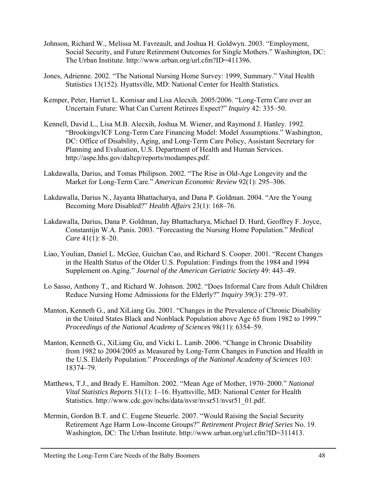- Johnson, Richard W., Melissa M. Favreault, and Joshua H. Goldwyn. 2003. "Employment, Social Security, and Future Retirement Outcomes for Single Mothers." Washington, DC: The Urban Institute. http://www.urban.org/url.cfm?ID=411396.
- Jones, Adrienne. 2002. "The National Nursing Home Survey: 1999, Summary." Vital Health Statistics 13(152). Hyattsville, MD: National Center for Health Statistics.
- Kemper, Peter, Harriet L. Komisar and Lisa Alecxih. 2005/2006. "Long-Term Care over an Uncertain Future: What Can Current Retirees Expect?" *Inquiry* 42: 335–50.
- Kennell, David L., Lisa M.B. Alecxih, Joshua M. Wiener, and Raymond J. Hanley. 1992. "Brookings/ICF Long-Term Care Financing Model: Model Assumptions." Washington, DC: Office of Disability, Aging, and Long-Term Care Policy, Assistant Secretary for Planning and Evaluation, U.S. Department of Health and Human Services. http://aspe.hhs.gov/daltcp/reports/modampes.pdf.
- Lakdawalla, Darius, and Tomas Philipson. 2002. "The Rise in Old-Age Longevity and the Market for Long-Term Care." *American Economic Review* 92(1): 295–306.
- Lakdawalla, Darius N., Jayanta Bhattacharya, and Dana P. Goldman. 2004. "Are the Young Becoming More Disabled?" *Health Affairs* 23(1): 168–76.
- Lakdawalla, Darius, Dana P. Goldman, Jay Bhattacharya, Michael D. Hurd, Geoffrey F. Joyce, Constantijn W.A. Panis. 2003. "Forecasting the Nursing Home Population." *Medical Care* 41(1): 8–20.
- Liao, Youlian, Daniel L. McGee, Guichan Cao, and Richard S. Cooper. 2001. "Recent Changes in the Health Status of the Older U.S. Population: Findings from the 1984 and 1994 Supplement on Aging." *Journal of the American Geriatric Society* 49: 443–49.
- Lo Sasso, Anthony T., and Richard W. Johnson. 2002. "Does Informal Care from Adult Children Reduce Nursing Home Admissions for the Elderly?" *Inquiry* 39(3): 279–97.
- Manton, Kenneth G., and XiLiang Gu. 2001. "Changes in the Prevalence of Chronic Disability in the United States Black and Nonblack Population above Age 65 from 1982 to 1999." *Proceedings of the National Academy of Sciences* 98(11): 6354–59.
- Manton, Kenneth G., XiLiang Gu, and Vicki L. Lamb. 2006. "Change in Chronic Disability from 1982 to 2004/2005 as Measured by Long-Term Changes in Function and Health in the U.S. Elderly Population." *Proceedings of the National Academy of Sciences* 103: 18374–79.
- Matthews, T.J., and Brady E. Hamilton. 2002. "Mean Age of Mother, 1970–2000." *National Vital Statistics Reports* 51(1): 1–16. Hyattsville, MD: National Center for Health Statistics. http://www.cdc.gov/nchs/data/nvsr/nvsr51/nvsr51\_01.pdf.
- Mermin, Gordon B.T. and C. Eugene Steuerle. 2007. "Would Raising the Social Security Retirement Age Harm Low-Income Groups?" *Retirement Project Brief Series* No. 19. Washington, DC: The Urban Institute. http://www.urban.org/url.cfm?ID=311413.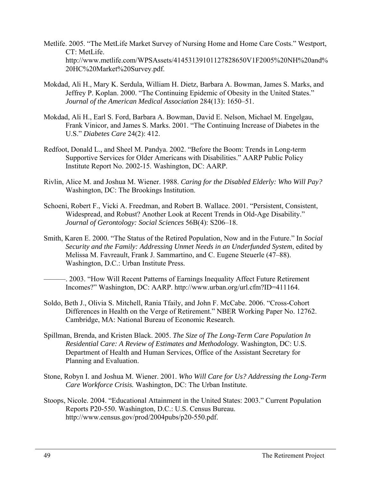- Metlife. 2005. "The MetLife Market Survey of Nursing Home and Home Care Costs." Westport, CT: MetLife. http://www.metlife.com/WPSAssets/41453139101127828650V1F2005%20NH%20and% 20HC%20Market%20Survey.pdf.
- Mokdad, Ali H., Mary K. Serdula, William H. Dietz, Barbara A. Bowman, James S. Marks, and Jeffrey P. Koplan. 2000. "The Continuing Epidemic of Obesity in the United States." *Journal of the American Medical Association* 284(13): 1650–51.
- Mokdad, Ali H., Earl S. Ford, Barbara A. Bowman, David E. Nelson, Michael M. Engelgau, Frank Vinicor, and James S. Marks. 2001. "The Continuing Increase of Diabetes in the U.S." *Diabetes Care* 24(2): 412.
- Redfoot, Donald L., and Sheel M. Pandya. 2002. "Before the Boom: Trends in Long-term Supportive Services for Older Americans with Disabilities." AARP Public Policy Institute Report No. 2002-15. Washington, DC: AARP.
- Rivlin, Alice M. and Joshua M. Wiener. 1988. *Caring for the Disabled Elderly: Who Will Pay?* Washington, DC: The Brookings Institution.
- Schoeni, Robert F., Vicki A. Freedman, and Robert B. Wallace. 2001. "Persistent, Consistent, Widespread, and Robust? Another Look at Recent Trends in Old-Age Disability." *Journal of Gerontology: Social Sciences* 56B(4): S206–18.
- Smith, Karen E. 2000. "The Status of the Retired Population, Now and in the Future." In *Social Security and the Family: Addressing Unmet Needs in an Underfunded System*, edited by Melissa M. Favreault, Frank J. Sammartino, and C. Eugene Steuerle (47–88). Washington, D.C.: Urban Institute Press.
	- ———. 2003. "How Will Recent Patterns of Earnings Inequality Affect Future Retirement Incomes?" Washington, DC: AARP. http://www.urban.org/url.cfm?ID=411164.
- Soldo, Beth J., Olivia S. Mitchell, Rania Tfaily, and John F. McCabe. 2006. "Cross-Cohort Differences in Health on the Verge of Retirement." NBER Working Paper No. 12762. Cambridge, MA: National Bureau of Economic Research.
- Spillman, Brenda, and Kristen Black. 2005. *The Size of The Long-Term Care Population In Residential Care: A Review of Estimates and Methodology.* Washington, DC: U.S. Department of Health and Human Services, Office of the Assistant Secretary for Planning and Evaluation.
- Stone, Robyn I. and Joshua M. Wiener. 2001. *Who Will Care for Us? Addressing the Long-Term Care Workforce Crisis.* Washington, DC: The Urban Institute.
- Stoops, Nicole. 2004. "Educational Attainment in the United States: 2003." Current Population Reports P20-550. Washington, D.C.: U.S. Census Bureau. http://www.census.gov/prod/2004pubs/p20-550.pdf.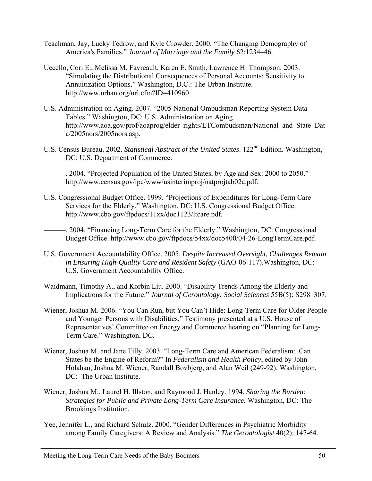- Teachman, Jay, Lucky Tedrow, and Kyle Crowder. 2000. "The Changing Demography of America's Families." *Journal of Marriage and the Family* 62:1234–46.
- Uccello, Cori E., Melissa M. Favreault, Karen E. Smith, Lawrence H. Thompson. 2003. "Simulating the Distributional Consequences of Personal Accounts: Sensitivity to Annuitization Options." Washington, D.C.: The Urban Institute. http://www.urban.org/url.cfm?ID=410960.
- U.S. Administration on Aging. 2007. "2005 National Ombudsman Reporting System Data Tables." Washington, DC: U.S. Administration on Aging. http://www.aoa.gov/prof/aoaprog/elder\_rights/LTCombudsman/National\_and\_State\_Dat a/2005nors/2005nors.asp.
- U.S. Census Bureau. 2002. *Statistical Abstract of the United States*. 122<sup>nd</sup> Edition. Washington, DC: U.S. Department of Commerce.
	- -. 2004. "Projected Population of the United States, by Age and Sex: 2000 to 2050." http://www.census.gov/ipc/www/usinterimproj/natprojtab02a.pdf.
- U.S. Congressional Budget Office. 1999. "Projections of Expenditures for Long-Term Care Services for the Elderly." Washington, DC: U.S. Congressional Budget Office. http://www.cbo.gov/ftpdocs/11xx/doc1123/ltcare.pdf.
	- ———. 2004. "Financing Long-Term Care for the Elderly." Washington, DC: Congressional Budget Office. http://www.cbo.gov/ftpdocs/54xx/doc5400/04-26-LongTermCare.pdf.
- U.S. Government Accountability Office. 2005. *Despite Increased Oversight, Challenges Remain in Ensuring High-Quality Care and Resident Safety* (GAO-06-117).Washington, DC: U.S. Government Accountability Office.
- Waidmann, Timothy A., and Korbin Liu. 2000. "Disability Trends Among the Elderly and Implications for the Future." *Journal of Gerontology: Social Sciences* 55B(5): S298–307.
- Wiener, Joshua M. 2006. "You Can Run, but You Can't Hide: Long-Term Care for Older People and Younger Persons with Disabilities." Testimony presented at a U.S. House of Representatives' Committee on Energy and Commerce hearing on "Planning for Long-Term Care." Washington, DC.
- Wiener, Joshua M. and Jane Tilly. 2003. "Long-Term Care and American Federalism: Can States be the Engine of Reform?" In *Federalism and Health Policy*, edited by John Holahan, Joshua M. Wiener, Randall Bovbjerg, and Alan Weil (249-92). Washington, DC: The Urban Institute.
- Wiener, Joshua M., Laurel H. Illston, and Raymond J. Hanley. 1994. *Sharing the Burden: Strategies for Public and Private Long-Term Care Insurance.* Washington, DC: The Brookings Institution.
- Yee, Jennifer L., and Richard Schulz. 2000. "Gender Differences in Psychiatric Morbidity among Family Caregivers: A Review and Analysis." *The Gerontologist* 40(2): 147-64.